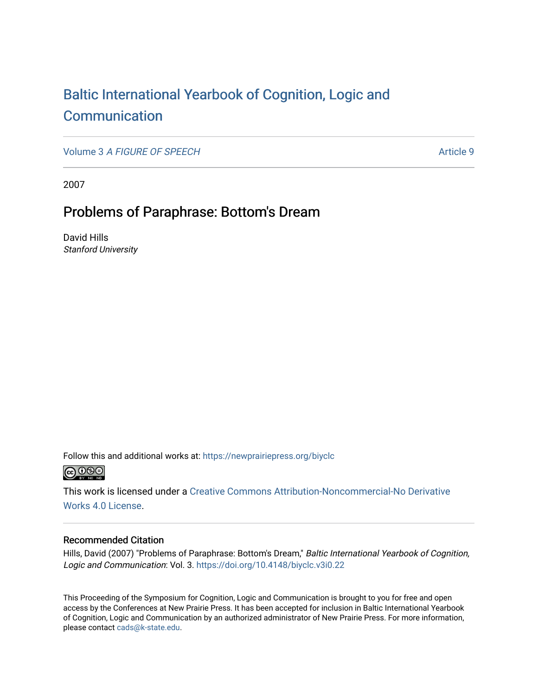# [Baltic International Yearbook of Cognition, Logic and](https://newprairiepress.org/biyclc)  **[Communication](https://newprairiepress.org/biyclc)**

Volume 3 [A FIGURE OF SPEECH](https://newprairiepress.org/biyclc/vol3) Article 9

2007

## Problems of Paraphrase: Bottom's Dream

David Hills Stanford University

Follow this and additional works at: [https://newprairiepress.org/biyclc](https://newprairiepress.org/biyclc?utm_source=newprairiepress.org%2Fbiyclc%2Fvol3%2Fiss1%2F9&utm_medium=PDF&utm_campaign=PDFCoverPages) 



This work is licensed under a [Creative Commons Attribution-Noncommercial-No Derivative](https://creativecommons.org/licenses/by-nc-nd/4.0/)  [Works 4.0 License](https://creativecommons.org/licenses/by-nc-nd/4.0/).

#### Recommended Citation

Hills, David (2007) "Problems of Paraphrase: Bottom's Dream," Baltic International Yearbook of Cognition, Logic and Communication: Vol. 3. <https://doi.org/10.4148/biyclc.v3i0.22>

This Proceeding of the Symposium for Cognition, Logic and Communication is brought to you for free and open access by the Conferences at New Prairie Press. It has been accepted for inclusion in Baltic International Yearbook of Cognition, Logic and Communication by an authorized administrator of New Prairie Press. For more information, please contact [cads@k-state.edu.](mailto:cads@k-state.edu)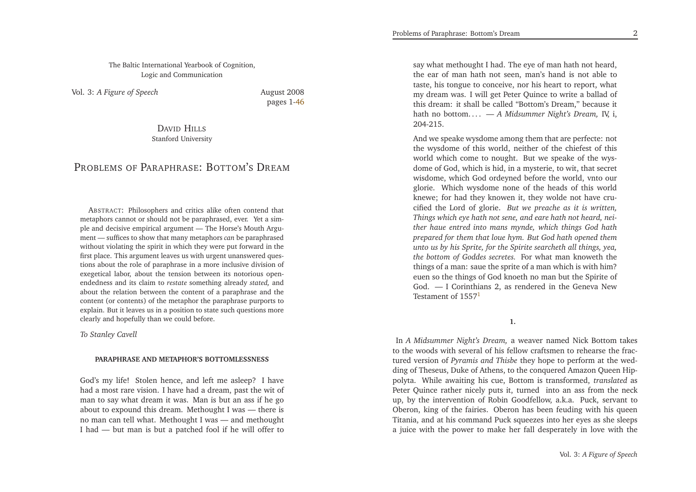The Baltic International Yearbook of Cognition, Logic and Communication

Vol. 3: *<sup>A</sup> Figure of Speech*

<span id="page-1-0"></span> August <sup>2008</sup>pages 1[-46](#page-23-0)

DAVID <sup>H</sup>ILLS Stanford University

### PROBLEMS OF <sup>P</sup>ARAPHRASE: <sup>B</sup>OTTOM'<sup>S</sup> <sup>D</sup>REAM

ABSTRACT: Philosophers and critics alike often contend that metaphors cannot or should not be paraphrased, ever. Yet <sup>a</sup> sim<sup>p</sup>le and decisive empirical argumen<sup>t</sup> — The Horse's Mouth Argu ment — suffices to show that many metaphors *can* be paraphrased without violating the spirit in which they were pu<sup>t</sup> forward in the first <sup>p</sup>lace. This argumen<sup>t</sup> leaves us with urgen<sup>t</sup> unanswered questions about the role of paraphrase in <sup>a</sup> more inclusive division of exegetical labor, about the tension between its notorious openendedness and its claim to *restate* something already *stated,* and about the relation between the content of <sup>a</sup> paraphrase and the content (or contents) of the metaphor the paraphrase purports to explain. But it leaves us in <sup>a</sup> position to state such questions moreclearly and hopefully than we could before.

*To Stanley Cavell*

#### **PARAPHRASE AND METAPHOR'S BOTTOMLESSNESS**

God's my life! Stolen hence, and left me asleep? <sup>I</sup> have had <sup>a</sup> most rare vision. <sup>I</sup> have had <sup>a</sup> dream, pas<sup>t</sup> the wit of man to say what dream it was. Man is but an ass if he go about to expound this dream. Methought <sup>I</sup> was — there is no man can tell what. Methought <sup>I</sup> was — and methought<sup>I</sup> had — but man is but <sup>a</sup> patched fool if he will offer to

say what methought <sup>I</sup> had. The eye of man hath not heard, the ear of man hath not seen, man's hand is not able to taste, his tongue to conceive, nor his heart to report, what my dream was. <sup>I</sup> will ge<sup>t</sup> Peter Quince to write <sup>a</sup> ballad of this dream: it shall be called "Bottom's Dream," because it hath no bottom. . . . *— <sup>A</sup> Midsummer Night's Dream,* IV, i, 204-215.

And we speake wysdome among them that are perfecte: not the wysdome of this world, neither of the chiefest of this world which come to nought. But we speake of the wysdome of God, which is hid, in <sup>a</sup> mysterie, to wit, that secret wisdome, which God ordeyned before the world, vnto our <sup>g</sup>lorie. Which wysdome none of the heads of this world knewe; for had they knowen it, they wolde not have crucified the Lord of <sup>g</sup>lorie. *But we preache as it is written, Things which eye hath not sene, and eare hath not heard, neither haue entred into mans mynde, which things God hath prepared for them that loue hym. But God hath opened them*unto us by his Sprite, for the Spirite searcheth all things, yea, *the bottom of Goddes secretes.* For what man knoweth the things of <sup>a</sup> man: saue the sprite of <sup>a</sup> man which is with him? euen so the things of God knoeth no man but the Spirite of God. — <sup>I</sup> Corinthians 2, as rendered in the Geneva NewTestament of [1](#page-21-0)557<sup>1</sup>

**1.**

In *<sup>A</sup> Midsummer Night's Dream,* <sup>a</sup> weaver named Nick Bottom takes to the woods with several of his fellow craftsmen to rehearse the fractured version of *Pyramis and Thisbe* they hope to perform at the wedding of Theseus, Duke of Athens, to the conquered Amazon Queen Hippolyta. While awaiting his cue, Bottom is transformed, *translated* as Peter Quince rather nicely puts it, turned into an ass from the neck up, by the intervention of Robin Goodfellow, a.k.a. Puck, servant to Oberon, king of the fairies. Oberon has been feuding with his queen Titania, and at his command Puck squeezes into her eyes as she sleeps <sup>a</sup> juice with the power to make her fall desperately in love with the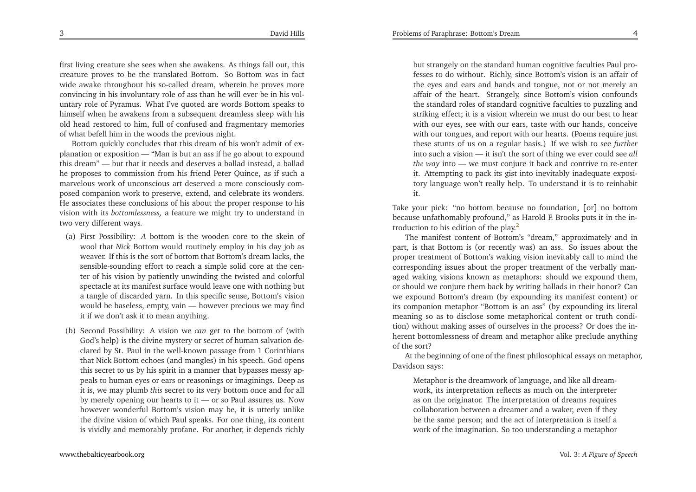first living creature she sees when she awakens. As things fall out, this creature proves to be the translated Bottom. So Bottom was in fact wide awake throughout his so-called dream, wherein he proves more convincing in his involuntary role of ass than he will ever be in his voluntary role of Pyramus. What I've quoted are words Bottom speaks to himself when he awakens from <sup>a</sup> subsequent dreamless sleep with his old head restored to him, full of confused and fragmentary memoriesof what befell him in the woods the previous night.

Bottom quickly concludes that this dream of his won't admit of ex<sup>p</sup>lanation or exposition — "Man is but an ass if he go about to expound this dream" — but that it needs and deserves <sup>a</sup> ballad instead, <sup>a</sup> ballad he proposes to commission from his friend Peter Quince, as if such <sup>a</sup> marvelous work of unconscious art deserved <sup>a</sup> more consciously composed companion work to preserve, extend, and celebrate its wonders. He associates these conclusions of his about the proper response to his vision with its *bottomlessness,* <sup>a</sup> feature we might try to understand intwo very different ways*.*

- (a) First Possibility: *<sup>A</sup>* bottom is the wooden core to the skein of wool that *Nick* Bottom would routinely employ in his day job as weaver. If this is the sort of bottom that Bottom's dream lacks, the sensible-sounding effort to reach <sup>a</sup> simple solid core at the center of his vision by patiently unwinding the twisted and colorful spectacle at its manifest surface would leave one with nothing but <sup>a</sup> tangle of discarded yarn. In this specific sense, Bottom's vision would be baseless, empty, vain — however precious we may findit if we don't ask it to mean anything.
- (b) Second Possibility: <sup>A</sup> vision we *can* ge<sup>t</sup> to the bottom of (with God's help) is the divine mystery or secret of human salvation declared by St. Paul in the well-known passage from <sup>1</sup> Corinthians that Nick Bottom echoes (and mangles) in his speech. God opens this secret to us by his spirit in <sup>a</sup> manner that bypasses messy appeals to human eyes or ears or reasonings or imaginings. Deep as it is, we may <sup>p</sup>lumb *this* secret to its very bottom once and for all by merely opening our hearts to it — or so Paul assures us. Now however wonderful Bottom's vision may be, it is utterly unlike the divine vision of which Paul speaks. For one thing, its contentis vividly and memorably profane. For another, it depends richly

<span id="page-2-0"></span>but strangely on the standard human cognitive faculties Paul professes to do without. Richly, since Bottom's vision is an affair of the eyes and ears and hands and tongue, not or not merely an affair of the heart. Strangely, since Bottom's vision confounds the standard roles of standard cognitive faculties to puzzling and striking effect; it is <sup>a</sup> vision wherein we must do our best to hear with our eyes, see with our ears, taste with our hands, conceive with our tongues, and repor<sup>t</sup> with our hearts. (Poems require just these stunts of us on <sup>a</sup> regular basis.) If we wish to see *further* into such <sup>a</sup> vision — it isn't the sort of thing we ever could see *all the way* into — we must conjure it back and contrive to re-enter it. Attempting to pack its <sup>g</sup>ist into inevitably inadequate expository language won't really help. To understand it is to reinhabitit.

Take your <sup>p</sup>ick: "no bottom because no foundation, [or] no bottom because unfathomably profound," as Harold F. Brooks puts it in the in-troduction to his edition of the play.<sup>[2](#page-21-1)</sup>

The manifest content of Bottom's "dream," approximately and in part, is that Bottom is (or recently was) an ass. So issues about the proper treatment of Bottom's waking vision inevitably call to mind the corresponding issues about the proper treatment of the verbally managed waking visions known as metaphors: should we expound them, or should we conjure them back by writing ballads in their honor? Can we expound Bottom's dream (by expounding its manifest content) or its companion metaphor "Bottom is an ass" (by expounding its literal meaning so as to disclose some metaphorical content or truth condition) without making asses of ourselves in the process? Or does the inherent bottomlessness of dream and metaphor alike preclude anythingof the sort?

 At the beginning of one of the finest <sup>p</sup>hilosophical essays on metaphor, Davidson says:

Metaphor is the dreamwork of language, and like all dreamwork, its interpretation reflects as much on the interpreter as on the originator. The interpretation of dreams requires collaboration between <sup>a</sup> dreamer and <sup>a</sup> waker, even if they be the same person; and the act of interpretation is itself <sup>a</sup>work of the imagination. So too understanding <sup>a</sup> metaphor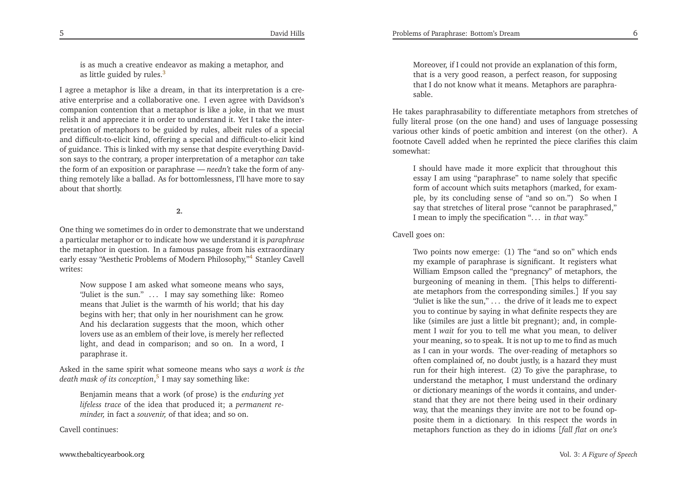<span id="page-3-2"></span>is as much <sup>a</sup> creative endeavor as making <sup>a</sup> metaphor, andas little guided by rules.<sup>[3](#page-22-0)</sup>

<sup>I</sup> agree <sup>a</sup> metaphor is like <sup>a</sup> dream, in that its interpretation is <sup>a</sup> creative enterprise and <sup>a</sup> collaborative one. <sup>I</sup> even agree with Davidson's companion contention that <sup>a</sup> metaphor is like <sup>a</sup> joke, in that we must relish it and appreciate it in order to understand it. Yet <sup>I</sup> take the interpretation of metaphors to be guided by rules, albeit rules of <sup>a</sup> special and difficult-to-elicit kind, offering <sup>a</sup> special and difficult-to-elicit kind of guidance. This is linked with my sense that despite everything Davidson says to the contrary, <sup>a</sup> proper interpretation of <sup>a</sup> metaphor *can* take the form of an exposition or paraphrase — needn't take the form of anythe form of an exposition or paraphrase — *needn't* take the form of any-<br>thing remotely like a ballad. As for bottomlessness, I'll have more to say about that shortly.

<span id="page-3-1"></span>**2.**

One thing we sometimes do in order to demonstrate that we understand <sup>a</sup> particular metaphor or to indicate how we understand it is *paraphrase* the metaphor in question. In <sup>a</sup> famous passage from his extraordinaryearly essay "Aesthetic Problems of Modern Philosophy,"<sup>[4](#page-22-1)</sup> Stanley Cavell writes:

Now suppose <sup>I</sup> am asked what someone means who says, "Juliet is the sun." . . . <sup>I</sup> may say something like: Romeo means that Juliet is the warmth of his world; that his day begins with her; that only in her nourishment can he grow. And his declaration suggests that the moon, which other lovers use as an emblem of their love, is merely her reflected light, and dead in comparison; and so on. In <sup>a</sup> word, <sup>I</sup>paraphrase it.

Asked in the same spirit what someone means who says *<sup>a</sup> work is thedeath mask of its conception*, [5](#page-22-2) <sup>I</sup> may say something like:

Benjamin means that <sup>a</sup> work (of prose) is the *enduring yet lifeless trace* of the idea that produced it; <sup>a</sup> *permanen<sup>t</sup> reminder,* in fact <sup>a</sup> *souvenir,* of that idea; and so on.

Cavell continues:

Moreover, if <sup>I</sup> could not provide an explanation of this form, that is <sup>a</sup> very good reason, <sup>a</sup> perfect reason, for supposing that <sup>I</sup> do not know what it means. Metaphors are paraphrasable.

<span id="page-3-0"></span>He takes paraphrasability to differentiate metaphors from stretches of fully literal prose (on the one hand) and uses of language possessing various other kinds of poetic ambition and interest (on the other). <sup>A</sup> footnote Cavell added when he reprinted the <sup>p</sup>iece clarifies this claimsomewhat:

<sup>I</sup> should have made it more explicit that throughout this essay <sup>I</sup> am using "paraphrase" to name solely that specific form of account which suits metaphors (marked, for exam<sup>p</sup>le, by its concluding sense of "and so on.") So when <sup>I</sup> say that stretches of literal prose "cannot be paraphrased,"<sup>I</sup> mean to imply the specification ". . . in *that* way."

Cavell goes on:

Two points now emerge: (1) The "and so on" which ends my example of paraphrase is significant. It registers what William Empson called the "pregnancy" of metaphors, the burgeoning of meaning in them. [This helps to differentiate metaphors from the corresponding similes.] If you say "Juliet is like the sun," . . . the drive of it leads me to expec<sup>t</sup> you to continue by saying in what definite respects they are like (similes are just <sup>a</sup> little bit pregnant); and, in comple ment I *wait* for you to tell me what you mean, to deliver your meaning, so to speak. It is not up to me to find as much as <sup>I</sup> can in your words. The over-reading of metaphors so often complained of, no doubt justly, is <sup>a</sup> hazard they must run for their high interest. (2) To <sup>g</sup>ive the paraphrase, to understand the metaphor, <sup>I</sup> must understand the ordinary or dictionary meanings of the words it contains, and understand that they are not there being used in their ordinary way, that the meanings they invite are not to be found opposite them in <sup>a</sup> dictionary. In this respec<sup>t</sup> the words inmetaphors function as they do in idioms [*fall flat on one's*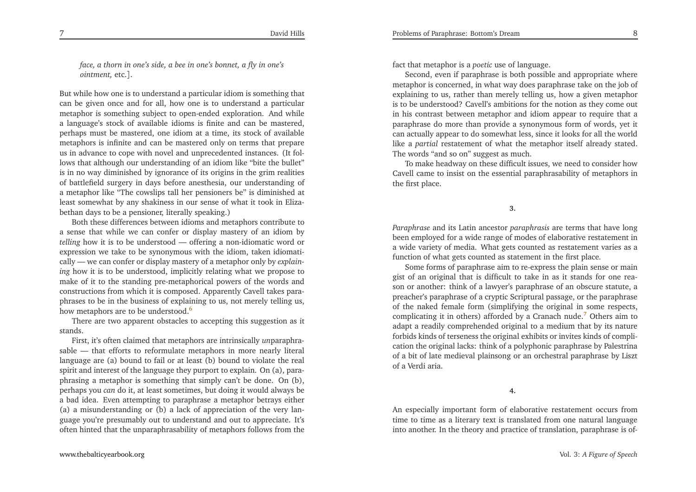<span id="page-4-0"></span>face, a thorn in one's side, a bee in one's bonnet, a fly in one's *ointment,* etc.].

But while how one is to understand <sup>a</sup> particular idiom is something that can be <sup>g</sup>iven once and for all, how one is to understand <sup>a</sup> particular metaphor is something subject to open-ended exploration. And while <sup>a</sup> language's stock of available idioms is finite and can be mastered, perhaps must be mastered, one idiom at <sup>a</sup> time, its stock of available metaphors is infinite and can be mastered only on terms that prepare us in advance to cope with novel and unprecedented instances. (It follows that although our understanding of an idiom like "bite the bullet"is in no way diminished by ignorance of its origins in the grim realities of battlefield surgery in days before anesthesia, our understanding of <sup>a</sup> metaphor like "The cowslips tall her pensioners be" is diminished at least somewhat by any shakiness in our sense of what it took in Elizabethan days to be <sup>a</sup> pensioner, literally speaking.)

<span id="page-4-1"></span> Both these differences between idioms and metaphors contribute toa sense that while we can confer or display mastery of an idiom by<br>tilling have it is to be understood. Affecting a new idiomatic word an *telling* how it is to be understood — offering <sup>a</sup> non-idiomatic word or expression we take to be synonymous with the idiom, taken idiomatically — we can confer or display mastery of <sup>a</sup> metaphor only by *explaining* how it is to be understood, implicitly relating what we propose to make of it to the standing pre-metaphorical powers of the words and constructions from which it is composed. Apparently Cavell takes para<sup>p</sup>hrases to be in the business of explaining to us, not merely telling us, how metaphors are to be understood.<sup>[6](#page-22-3)</sup>

There are two apparen<sup>t</sup> obstacles to accepting this suggestion as itstands.

 First, it's often claimed that metaphors are intrinsically *un*paraphrasable — that efforts to reformulate metaphors in more nearly literal language are (a) bound to fail or at least (b) bound to violate the real spirit and interest of the language they purpor<sup>t</sup> to explain. On (a), para<sup>p</sup>hrasing <sup>a</sup> metaphor is something that simply can't be done. On (b), perhaps you *can* do it, at least sometimes, but doing it would always be <sup>a</sup> bad idea. Even attempting to paraphrase <sup>a</sup> metaphor betrays either (a) <sup>a</sup> misunderstanding or (b) <sup>a</sup> lack of appreciation of the very language you're presumably out to understand and out to appreciate. It'soften hinted that the unparaphrasability of metaphors follows from the

fact that metaphor is <sup>a</sup> *poetic* use of language.

Second, even if paraphrase is both possible and appropriate where metaphor is concerned, in what way does paraphrase take on the job of explaining to us, rather than merely telling us, how <sup>a</sup> <sup>g</sup>iven metaphor is to be understood? Cavell's ambitions for the notion as they come out in his contrast between metaphor and idiom appear to require that <sup>a</sup> paraphrase do more than provide <sup>a</sup> synonymous form of words, ye<sup>t</sup> it can actually appear to do somewhat less, since it looks for all the world like <sup>a</sup> *partial* restatement of what the metaphor itself already stated. The words "and so on" sugges<sup>t</sup> as much.

To make headway on these difficult issues, we need to consider how Cavell came to insist on the essential paraphrasability of metaphors inthe first <sup>p</sup>lace.

**3.**

*Paraphrase* and its Latin ancestor *paraphrasis* are terms that have long been employed for <sup>a</sup> wide range of modes of elaborative restatement in <sup>a</sup> wide variety of media. What gets counted as restatement varies as <sup>a</sup>function of what gets counted as statement in the first <sup>p</sup>lace*.*

Some forms of paraphrase aim to re-express the <sup>p</sup>lain sense or main <sup>g</sup>ist of an original that is difficult to take in as it stands for one reason or another: think of <sup>a</sup> lawyer's paraphrase of an obscure statute, <sup>a</sup> preacher's paraphrase of <sup>a</sup> cryptic Scriptural passage, or the paraphrase of the naked female form (simplifying the original in some respects, complicating it in others) afforded by <sup>a</sup> Cranach nude. [7](#page-22-4) Others aim to adapt <sup>a</sup> readily comprehended original to <sup>a</sup> medium that by its nature forbids kinds of terseness the original exhibits or invites kinds of complication the original lacks: think of <sup>a</sup> polyphonic paraphrase by Palestrina of <sup>a</sup> bit of late medieval <sup>p</sup>lainsong or an orchestral paraphrase by Lisztof <sup>a</sup> Verdi aria.

**4.**

An especially important form of elaborative restatement occurs from time to time as <sup>a</sup> literary text is translated from one natural languageinto another. In the theory and practice of translation, paraphrase is of-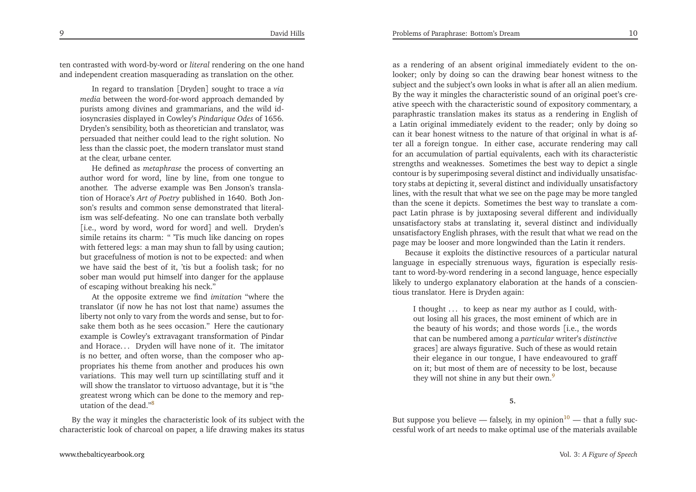ten contrasted with word-by-word or *literal* rendering on the one handand independent creation masquerading as translation on the other.

<span id="page-5-0"></span>In regard to translation [Dryden] sought to trace <sup>a</sup> *via media* between the word-for-word approac<sup>h</sup> demanded by purists among divines and grammarians, and the wild idiosyncrasies displayed in Cowley's *Pindarique Odes* of 1656. Dryden's sensibility, both as theoretician and translator, was persuaded that neither could lead to the right solution. No less than the classic poet, the modern translator must standat the clear, urbane center.

<span id="page-5-2"></span><span id="page-5-1"></span>He defined as *metaphrase* the process of converting an author word for word, line by line, from one tongue to another. The adverse example was Ben Jonson's translation of Horace's *Art of Poetry* published in 1640. Both Jonson's results and common sense demonstrated that literalism was self-defeating. No one can translate both verbally [i.e., word by word, word for word] and well. Dryden's simile retains its charm: " 'Tis much like dancing on ropes with fettered legs: <sup>a</sup> man may shun to fall by using caution; but gracefulness of motion is not to be expected: and when we have said the best of it, 'tis but <sup>a</sup> foolish task; for no sober man would pu<sup>t</sup> himself into danger for the applauseof escaping without breaking his neck."

 At the opposite extreme we find *imitation* "where the translator (if now he has not lost that name) assumes the liberty not only to vary from the words and sense, but to forsake them both as he sees occasion." Here the cautionary example is Cowley's extravagant transformation of Pindar and Horace. . . Dryden will have none of it. The imitator is no better, and often worse, than the composer who appropriates his theme from another and produces his own variations. This may well turn up scintillating stuff and it will show the translator to virtuoso advantage, but it is "the greatest wrong which can be done to the memory and rep-utation of the dead."<sup>[8](#page-22-5)</sup>

By the way it mingles the characteristic look of its subject with thecharacteristic look of charcoal on paper, <sup>a</sup> life drawing makes its status

as <sup>a</sup> rendering of an absent original immediately evident to the onlooker; only by doing so can the drawing bear honest witness to the subject and the subject's own looks in what is after all an alien medium. By the way it mingles the characteristic sound of an original poet's creative speech with the characteristic sound of expository commentary, <sup>a</sup> paraphrastic translation makes its status as <sup>a</sup> rendering in English of <sup>a</sup> Latin original immediately evident to the reader; only by doing so can it bear honest witness to the nature of that original in what is after all <sup>a</sup> foreign tongue. In either case, accurate rendering may call for an accumulation of partial equivalents, each with its characteristic strengths and weaknesses. Sometimes the best way to depict <sup>a</sup> single contour is by superimposing several distinct and individually unsatisfactory stabs at depicting it, several distinct and individually unsatisfactory lines, with the result that what we see on the page may be more tangled than the scene it depicts. Sometimes the best way to translate <sup>a</sup> compac<sup>t</sup> Latin <sup>p</sup>hrase is by juxtaposing several different and individually unsatisfactory stabs at translating it, several distinct and individually unsatisfactory English <sup>p</sup>hrases, with the result that what we read on thepage may be looser and more longwinded than the Latin it renders.

Because it exploits the distinctive resources of <sup>a</sup> particular naturallanguage in especially strenuous ways, figuration is especially resistant to word-by-word rendering in <sup>a</sup> second language, hence especially likely to undergo explanatory elaboration at the hands of <sup>a</sup> conscientious translator. Here is Dryden again:

I thought ... to keep as near my author as I could, without losing all his graces, the most eminent of which are in the beauty of his words; and those words [i.e., the words that can be numbered among <sup>a</sup> *particular* writer's *distinctive* graces] are always figurative. Such of these as would retain their elegance in our tongue, <sup>I</sup> have endeavoured to graff on it; but most of them are of necessity to be lost, becausethey will not shine in any but their own.<sup>[9](#page-22-6)</sup>

**5.**

But suppose you believe — falsely, in my opinion<sup>[10](#page-22-7)</sup> — that a fully successful work of art needs to make optimal use of the materials available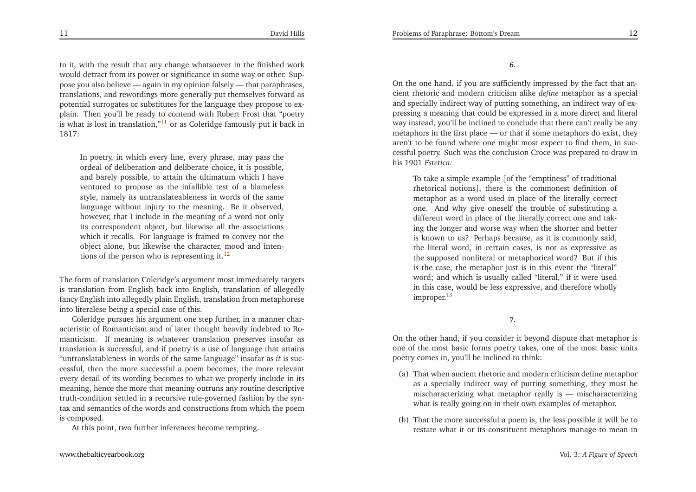<span id="page-6-2"></span>to it, with the result that any change whatsoever in the finished work would detract from its power or significance in some way or other. Suppose you also believe — again in my opinion falsely — that paraphrases, translations, and rewordings more generally pu<sup>t</sup> themselves forward as potential surrogates or substitutes for the language they propose to ex<sup>p</sup>lain. Then you'll be ready to contend with Robert Frost that "poetryis what is lost in translation," $^{11}$  $^{11}$  $^{11}$  or as Coleridge famously put it back in 1817:

<span id="page-6-1"></span>In poetry, in which every line, every <sup>p</sup>hrase, may pass the ordeal of deliberation and deliberate choice, it is possible, and barely possible, to attain the ultimatum which <sup>I</sup> have ventured to propose as the infallible test of <sup>a</sup> blameless style, namely its untranslateableness in words of the same language without injury to the meaning. Be it observed, however, that <sup>I</sup> include in the meaning of <sup>a</sup> word not only its correspondent object, but likewise all the associations which it recalls. For language is framed to convey not the object alone, but likewise the character, mood and intentions of the person who is representing it. $^{12}$  $^{12}$  $^{12}$ 

The form of translation Coleridge's argumen<sup>t</sup> most immediately targets is translation from English back into English, translation of allegedly fancy English into allegedly <sup>p</sup>lain English, translation from metaphoreseinto literalese being <sup>a</sup> special case of this.

Coleridge pursues his argumen<sup>t</sup> one step further, in <sup>a</sup> manner characteristic of Romanticism and of later thought heavily indebted to Romanticism. If meaning is whatever translation preserves insofar as translation is successful, and if poetry is <sup>a</sup> use of language that attains "untranslatableness in words of the same language" insofar as *it* is successful, then the more successful <sup>a</sup> poem becomes, the more relevant every detail of its wording becomes to what we properly include in its meaning, hence the more that meaning outruns any routine descriptive truth-condition settled in <sup>a</sup> recursive rule-governed fashion by the syntax and semantics of the words and constructions from which the poemis composed.

At this point, two further inferences become tempting.

**6.**

<span id="page-6-0"></span>On the one hand, if you are sufficiently impressed by the fact that ancient rhetoric and modern criticism alike *define* metaphor as <sup>a</sup> special and specially indirect way of putting something, an indirect way of expressing <sup>a</sup> meaning that could be expressed in <sup>a</sup> more direct and literalway instead, you'll be inclined to conclude that there can't really be any metaphors in the first <sup>p</sup>lace — or that if some metaphors do exist, they aren't to be found where one might most expec<sup>t</sup> to find them, in successful poetry. Such was the conclusion Croce was prepared to draw inhis 1901 *Estetica:*

To take <sup>a</sup> simple example [of the "emptiness" of traditional rhetorical notions], there is the commonest definition of metaphor as <sup>a</sup> word used in <sup>p</sup>lace of the literally correct one. And why <sup>g</sup>ive oneself the trouble of substituting <sup>a</sup> different word in <sup>p</sup>lace of the literally correct one and taking the longer and worse way when the shorter and better is known to us? Perhaps because, as it is commonly said, the literal word, in certain cases, is not as expressive as the supposed nonliteral or metaphorical word? But if this is the case, the metaphor just is in this event the "literal" word; and which is usually called "literal," if it were used in this case, would be less expressive, and therefore whollyimproper.<sup>[13](#page-22-10)</sup>

**7.**

On the other hand, if you consider it beyond dispute that metaphor is one of the most basic forms poetry takes, one of the most basic units poetry comes in, you'll be inclined to think:

- (a) That when ancient rhetoric and modern criticism define metaphor as <sup>a</sup> specially indirect way of putting something, they must be mischaracterizing what metaphor really is — mischaracterizingwhat is really going on in their own examples of metaphor.
- (b) That the more successful <sup>a</sup> poem is, the less possible it will be torestate what it or its constituent metaphors manage to mean <sup>i</sup>n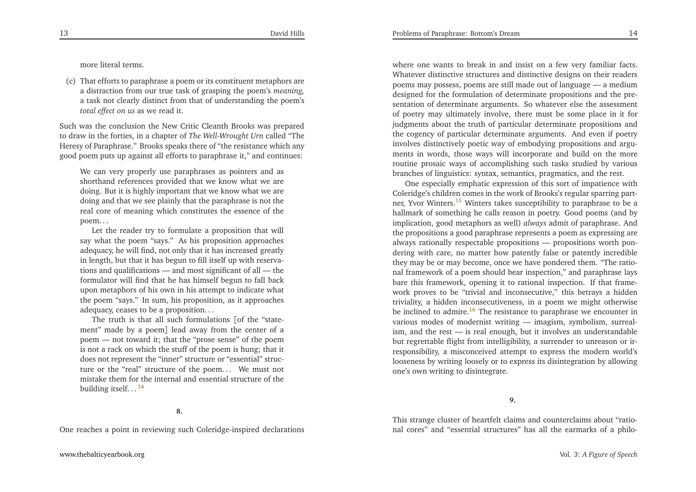<span id="page-7-2"></span><span id="page-7-0"></span>more literal terms.

(c) That efforts to paraphrase <sup>a</sup> poem or its constituent metaphors are <sup>a</sup> distraction from our true task of grasping the poem's *meaning,* <sup>a</sup> task not clearly distinct from that of understanding the poem's*total effect on us* as we read it.

Such was the conclusion the New Critic Cleanth Brooks was prepared to draw in the forties, in <sup>a</sup> chapter of *The Well-Wrought Urn* called "The Heresy of Paraphrase." Brooks speaks there of "the resistance which anygood poem puts up against all efforts to paraphrase it," and continues:

We can very properly use paraphrases as pointers and as shorthand references provided that we know what we are doing. But it is highly important that we know what we are doing and that we see <sup>p</sup>lainly that the paraphrase is not the real core of meaning which constitutes the essence of thepoem. . .

Let the reader try to formulate <sup>a</sup> proposition that willsay what the poem "says." As his proposition approaches adequacy, he will find, not only that it has increased greatly in length, but that it has begun to fill itself up with reservations and qualifications — and most significant of all — the formulator will find that he has himself begun to fall back upon metaphors of his own in his attempt to indicate what the poem "says." In sum, his proposition, as it approachesadequacy, ceases to be <sup>a</sup> proposition. . .

The truth is that all such formulations [of the "statement" made by <sup>a</sup> poem] lead away from the center of <sup>a</sup> poem — not toward it; that the "prose sense" of the poem is not <sup>a</sup> rack on which the stuff of the poem is hung; that it does not represen<sup>t</sup> the "inner" structure or "essential" structure or the "real" structure of the poem. . . We must not mistake them for the internal and essential structure of thebuilding itself...<sup>[14](#page-22-11)</sup>

**8.**

One reaches <sup>a</sup> point in reviewing such Coleridge-inspired declarations

<span id="page-7-1"></span>where one wants to break in and insist on <sup>a</sup> few very familiar facts. Whatever distinctive structures and distinctive designs on their readers poems may possess, poems are still made out of language — <sup>a</sup> medium designed for the formulation of determinate propositions and the presentation of determinate arguments. So whatever else the assessment of poetry may ultimately involve, there must be some <sup>p</sup>lace in it for judgments about the truth of particular determinate propositions and the cogency of particular determinate arguments. And even if poetry involves distinctively poetic way of embodying propositions and arguments in words, those ways will incorporate and build on the more routine prosaic ways of accomplishing such tasks studied by various branches of linguistics: syntax, semantics, pragmatics, and the rest.

One especially emphatic expression of this sort of impatience with Coleridge's children comes in the work of Brooks's regular sparring partner, Yvor Winters.[15](#page-22-12) Winters takes susceptibility to paraphrase to be <sup>a</sup> hallmark of something he calls reason in poetry. Good poems (and by implication, good metaphors as well) *always* admit of paraphrase. And the propositions <sup>a</sup> good paraphrase represents <sup>a</sup> poem as expressing are always rationally respectable propositions — propositions worth pondering with care, no matter how patently false or patently incredible they may be or may become, once we have pondered them. "The rational framework of <sup>a</sup> poem should bear inspection," and paraphrase lays bare this framework, opening it to rational inspection. If that framework proves to be "trivial and inconsecutive," this betrays <sup>a</sup> hidden triviality, <sup>a</sup> hidden inconsecutiveness, in <sup>a</sup> poem we might otherwisebe inclined to admire.<sup>[16](#page-22-13)</sup> The resistance to paraphrase we encounter in various modes of modernist writing — imagism, symbolism, surrealism, and the rest — is real enough, but it involves an understandable but regrettable flight from intelligibility, <sup>a</sup> surrender to unreason or irresponsibility, <sup>a</sup> misconceived attempt to express the modern world's looseness by writing loosely or to express its disintegration by allowingone's own writing to disintegrate.

**9.**

This strange cluster of heartfelt claims and counterclaims about "rational cores" and "essential structures" has all the earmarks of <sup>a</sup> <sup>p</sup>hilo-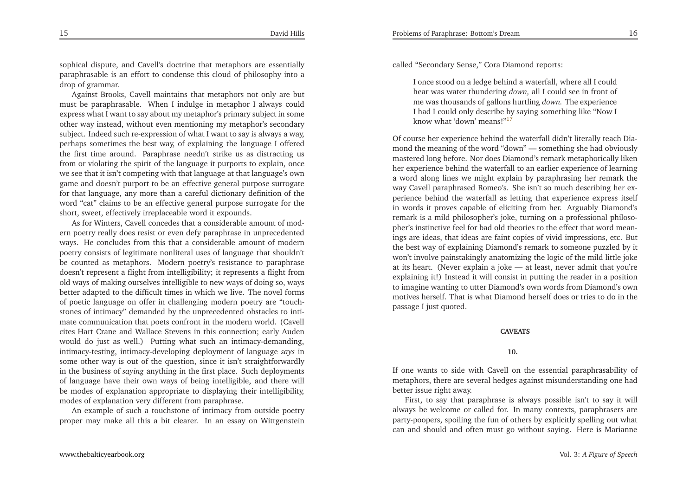sophical dispute, and Cavell's doctrine that metaphors are essentially paraphrasable is an effort to condense this cloud of <sup>p</sup>hilosophy into <sup>a</sup>drop of grammar.

Against Brooks, Cavell maintains that metaphors not only are but must be paraphrasable. When <sup>I</sup> indulge in metaphor <sup>I</sup> always could express what <sup>I</sup> want to say about my metaphor's primary subject in some other way instead, without even mentioning my metaphor's secondary subject. Indeed such re-expression of what <sup>I</sup> want to say is always <sup>a</sup> way, perhaps sometimes the best way, of explaining the language <sup>I</sup> offered the first time around. Paraphrase needn't strike us as distracting us from or violating the spirit of the language it purports to explain, once we see that it isn't competing with that language at that language's own game and doesn't purpor<sup>t</sup> to be an effective general purpose surrogate for that language, any more than <sup>a</sup> careful dictionary definition of the word "cat" claims to be an effective general purpose surrogate for theshort, sweet, effectively irreplaceable word it expounds.

As for Winters, Cavell concedes that <sup>a</sup> considerable amount of modern poetry really does resist or even defy paraphrase in unprecedented ways. He concludes from this that <sup>a</sup> considerable amount of modern poetry consists of legitimate nonliteral uses of language that shouldn't be counted as metaphors. Modern poetry's resistance to paraphrase doesn't represen<sup>t</sup> <sup>a</sup> flight from intelligibility; it represents <sup>a</sup> flight from old ways of making ourselves intelligible to new ways of doing so, ways better adapted to the difficult times in which we live. The novel forms of poetic language on offer in challenging modern poetry are "touchstones of intimacy" demanded by the unprecedented obstacles to intimate communication that poets confront in the modern world. (Cavell cites Hart Crane and Wallace Stevens in this connection; early Auden would do just as well.) Putting what such an intimacy-demanding, intimacy-testing, intimacy-developing deployment of language *says* in some other way is out of the question, since it isn't straightforwardly in the business of *saying* anything in the first <sup>p</sup>lace. Such deployments of language have their own ways of being intelligible, and there will be modes of explanation appropriate to displaying their intelligibility, modes of explanation very different from paraphrase.

An example of such <sup>a</sup> touchstone of intimacy from outside poetryproper may make all this <sup>a</sup> bit clearer. In an essay on Wittgenstein called "Secondary Sense," Cora Diamond reports:

<sup>I</sup> once stood on <sup>a</sup> ledge behind <sup>a</sup> waterfall, where all <sup>I</sup> could hear was water thundering *down,* all <sup>I</sup> could see in front of me was thousands of gallons hurtling *down.* The experience <sup>I</sup> had <sup>I</sup> could only describe by saying something like "Now <sup>I</sup>know what 'down' means!"[17](#page-22-14)

<span id="page-8-0"></span>Of course her experience behind the waterfall didn't literally teach Diamond the meaning of the word "down" — something she had obviously mastered long before. Nor does Diamond's remark metaphorically liken her experience behind the waterfall to an earlier experience of learning <sup>a</sup> word along lines we might explain by paraphrasing her remark the way Cavell paraphrased Romeo's. She isn't so much describing her experience behind the waterfall as letting that experience express itself in words it proves capable of eliciting from her. Arguably Diamond's remark is <sup>a</sup> mild <sup>p</sup>hilosopher's joke, turning on <sup>a</sup> professional <sup>p</sup>hiloso<sup>p</sup>her's instinctive feel for bad old theories to the effect that word meanings are ideas, that ideas are faint copies of vivid impressions, etc. But the best way of explaining Diamond's remark to someone puzzled by it won't involve painstakingly anatomizing the logic of the mild little joke at its heart. (Never explain <sup>a</sup> joke — at least, never admit that you're explaining it!) Instead it will consist in putting the reader in <sup>a</sup> position to imagine wanting to utter Diamond's own words from Diamond's own motives herself. That is what Diamond herself does or tries to do in thepassage <sup>I</sup> just quoted.

#### **CAVEATS**

#### **10.**

If one wants to side with Cavell on the essential paraphrasability of metaphors, there are several hedges against misunderstanding one hadbetter issue right away.

First, to say that paraphrase is always possible isn't to say it will always be welcome or called for. In many contexts, paraphrasers are party-poopers, spoiling the fun of others by explicitly spelling out whatcan and should and often must go without saying. Here is Marianne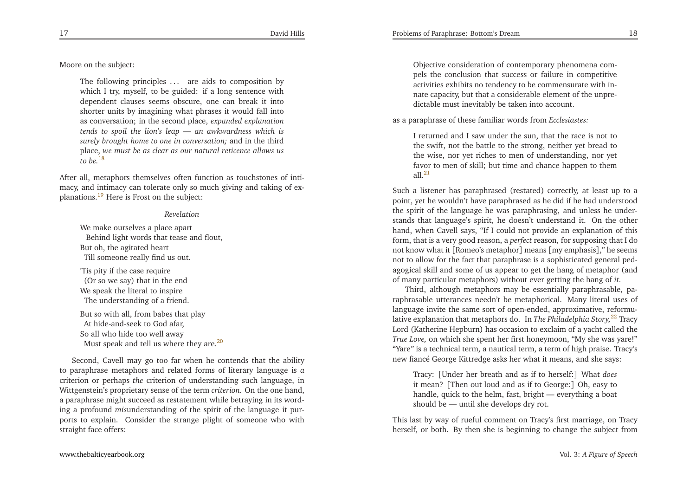<span id="page-9-3"></span><span id="page-9-1"></span><span id="page-9-0"></span>Problems of Paraphrase: Bottom's Dream

Moore on the subject:

The following principles ... are aids to composition by which <sup>I</sup> try, myself, to be guided: if <sup>a</sup> long sentence with dependent clauses seems obscure, one can break it into shorter units by imagining what <sup>p</sup>hrases it would fall into as conversation; in the second <sup>p</sup>lace, *expanded explanation tends to spoil the lion's leap — an awkwardness which is surely brought home to one in conversation;* and in the third place, *we must be as clear as our natural reticence allows us* $to$   $he^{18}$  $he^{18}$  $he^{18}$ 

After all, metaphors themselves often function as touchstones of intimacy, and intimacy can tolerate only so much <sup>g</sup>iving and taking of ex<sup>p</sup>lanations.[19](#page-22-16) Here is Frost on the subject:

#### <span id="page-9-4"></span><span id="page-9-2"></span>*Revelation*

We make ourselves <sup>a</sup> <sup>p</sup>lace apar<sup>t</sup> Behind light words that tease and flout, But oh, the agitated heartTill someone really find us out.

'Tis <sup>p</sup>ity if the case require (Or so we say) that in the end We speak the literal to inspireThe understanding of <sup>a</sup> friend.

But so with all, from babes that <sup>p</sup>layAt hide-and-seek to God afar, So all who hide too well awayMust speak and tell us where they are.<sup>[20](#page-22-17)</sup>

Second, Cavell may go too far when he contends that the ability to paraphrase metaphors and related forms of literary language is*a* criterion or perhaps *the* criterion of understanding such language, in Wittgenstein's proprietary sense of the term *criterion.* On the one hand, <sup>a</sup> paraphrase might succeed as restatement while betraying in its wording <sup>a</sup> profound *mis*understanding of the spirit of the language it purports to explain. Consider the strange <sup>p</sup>light of someone who withstraight face offers:

Objective consideration of contemporary <sup>p</sup>henomena compels the conclusion that success or failure in competitive activities exhibits no tendency to be commensurate with innate capacity, but that <sup>a</sup> considerable element of the unpredictable must inevitably be taken into account.

as <sup>a</sup> paraphrase of these familiar words from *Ecclesiastes:*

<sup>I</sup> returned and <sup>I</sup> saw under the sun, that the race is not to the swift, not the battle to the strong, neither ye<sup>t</sup> bread to the wise, nor ye<sup>t</sup> riches to men of understanding, nor ye<sup>t</sup> favor to men of skill; but time and chance happen to themall  $^{21}$  $^{21}$  $^{21}$ 

Such <sup>a</sup> listener has paraphrased (restated) correctly, at least up to <sup>a</sup> point, ye<sup>t</sup> he wouldn't have paraphrased as he did if he had understood the spirit of the language he was paraphrasing, and unless he understands that language's spirit, he doesn't understand it. On the other hand, when Cavell says, "If <sup>I</sup> could not provide an explanation of this form, that is <sup>a</sup> very good reason, <sup>a</sup> *perfect* reason, for supposing that <sup>I</sup> do not know what it [Romeo's metaphor] means [my emphasis]," he seems not to allow for the fact that paraphrase is <sup>a</sup> sophisticated general pedagogical skill and some of us appear to ge<sup>t</sup> the hang of metaphor (andof many particular metaphors) without ever getting the hang of *it.*

Third, although metaphors may be essentially paraphrasable, paraphrasable utterances needn't be metaphorical. Many literal uses of language invite the same sort of open-ended, approximative, reformulative explanation that metaphors do. In *The Philadelphia Story,*[22](#page-22-19) Tracy Lord (Katherine Hepburn) has occasion to exclaim of <sup>a</sup> yacht called the *True Love,* on which she spen<sup>t</sup> her first honeymoon, "My she was yare!" "Yare*"* is <sup>a</sup> technical term, <sup>a</sup> nautical term, <sup>a</sup> term of high praise. Tracy's new fiancé George Kittredge asks her what it means, and she says:

Tracy: [Under her breath and as if to herself:] What *does* it mean? [Then out loud and as if to George:] Oh, easy to handle, quick to the helm, fast, bright — everything <sup>a</sup> boatshould be — until she develops dry rot.

This last by way of rueful comment on Tracy's first marriage, on Tracyherself, or both. By then she is beginning to change the subject from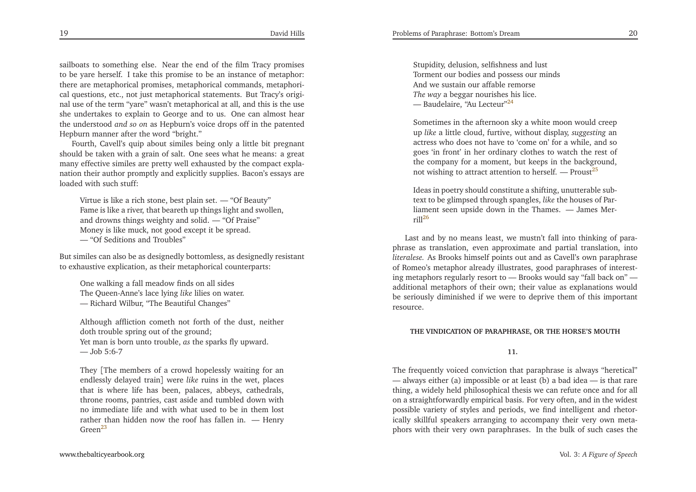<span id="page-10-0"></span>sailboats to something else. Near the end of the film Tracy promises to be yare herself. <sup>I</sup> take this promise to be an instance of metaphor: there are metaphorical promises, metaphorical commands, metaphorical questions, etc., not just metaphorical statements. But Tracy's original use of the term "yare" wasn't metaphorical at all, and this is the use she undertakes to explain to George and to us. One can almost hear the understood *and so on* as Hepburn's voice drops off in the patented Hepburn manner after the word "bright."

 Fourth, Cavell's quip about similes being only <sup>a</sup> little bit pregnan<sup>t</sup> should be taken with <sup>a</sup> grain of salt. One sees what he means: <sup>a</sup> grea<sup>t</sup> many effective similes are pretty well exhausted by the compac<sup>t</sup> explanation their author promptly and explicitly supplies. Bacon's essays areloaded with such stuff:

Virtue is like <sup>a</sup> rich stone, best <sup>p</sup>lain set. — "Of Beauty" Fame is like <sup>a</sup> river, that beareth up things light and swollen, and drowns things weighty and solid. — "Of Praise"Money is like muck, not good excep<sup>t</sup> it be spread. — "Of Seditions and Troubles"

But similes can also be as designedly bottomless, as designedly resistantto exhaustive explication, as their metaphorical counterparts:

One walking <sup>a</sup> fall meadow finds on all sides The Queen-Anne's lace lying *like* lilies on water. — Richard Wilbur, "The Beautiful Changes"

Although affliction cometh not forth of the dust, neitherdoth trouble spring out of the ground; Yet man is born unto trouble, *as* the sparks fly upward. — Job 5:6-7

They [The members of <sup>a</sup> crowd hopelessly waiting for an endlessly delayed train] were *like* ruins in the wet, <sup>p</sup>laces that is where life has been, palaces, abbeys, cathedrals, throne rooms, pantries, cast aside and tumbled down with no immediate life and with what used to be in them lost rather than hidden now the roof has fallen in. — HenryGreen<sup>[23](#page-22-20)</sup>

<span id="page-10-3"></span>Stupidity, delusion, selfishness and lust Torment our bodies and possess our mindsAnd we sustain our affable remorse *The way* <sup>a</sup> beggar nourishes his lice. — Baudelaire, "Au Lecteur"<sup>[24](#page-22-21)</sup>

<span id="page-10-1"></span>Sometimes in the afternoon sky <sup>a</sup> white moon would creep up *like* <sup>a</sup> little cloud, furtive, without display, *suggesting* an actress who does not have to 'come on' for <sup>a</sup> while, and so goes 'in front' in her ordinary clothes to watch the rest of the company for <sup>a</sup> moment, but keeps in the background, not wishing to attract attention to herself. — Proust<sup>[25](#page-22-22)</sup>

Ideas in poetry should constitute <sup>a</sup> shifting, unutterable subtext to be <sup>g</sup>limpsed through spangles, *like* the houses of Parliament seen upside down in the Thames. — James Mer $ri$ l $126$  $126$ 

<span id="page-10-2"></span>Last and by no means least, we mustn't fall into thinking of para<sup>p</sup>hrase as translation, even approximate and partial translation, into *literalese.* As Brooks himself points out and as Cavell's own paraphrase of Romeo's metaphor already illustrates, good paraphrases of interesting metaphors regularly resort to — Brooks would say "fall back on" additional metaphors of their own; their value as explanations would be seriously diminished if we were to deprive them of this importantresource.

#### **THE VINDICATION OF PARAPHRASE, OR THE HORSE'S MOUTH**

**11.**

The frequently voiced conviction that paraphrase is always "heretical" — always either (a) impossible or at least (b) <sup>a</sup> bad idea — is that rare thing, <sup>a</sup> widely held <sup>p</sup>hilosophical thesis we can refute once and for all on <sup>a</sup> straightforwardly empirical basis. For very often, and in the widest possible variety of styles and periods, we find intelligent and rhetorically skillful speakers arranging to accompany their very own meta<sup>p</sup>hors with their very own paraphrases. In the bulk of such cases the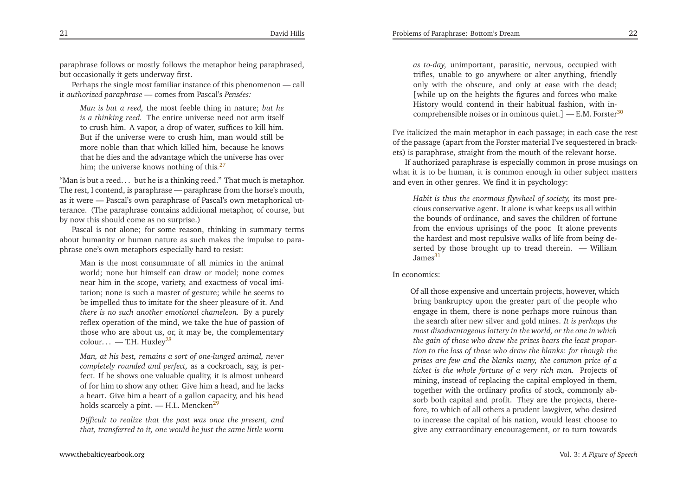paraphrase follows or mostly follows the metaphor being paraphrased, but occasionally it gets underway first.

Perhaps the single most familiar instance of this <sup>p</sup>henomenon — callit *authorized paraphrase* — comes from Pascal's *Pensées:*

<span id="page-11-4"></span><span id="page-11-1"></span>*Man is but <sup>a</sup> reed,* the most feeble thing in nature; *but he is <sup>a</sup> thinking reed.* The entire universe need not arm itself to crush him. <sup>A</sup> vapor, <sup>a</sup> drop of water, suffices to kill him. But if the universe were to crush him, man would still be more noble than that which killed him, because he knows that he dies and the advantage which the universe has overhim; the universe knows nothing of this*.*[27](#page-22-24)

<span id="page-11-2"></span>"Man is but <sup>a</sup> reed. . . but he is <sup>a</sup> thinking reed." That much is metaphor. The rest, <sup>I</sup> contend, is paraphrase — paraphrase from the horse's mouth, as it were — Pascal's own paraphrase of Pascal's own metaphorical utterance. (The paraphrase contains additional metaphor, of course, butby now this should come as no surprise.)

 Pascal is not alone; for some reason, thinking in summary terms about humanity or human nature as such makes the impulse to para<sup>p</sup>hrase one's own metaphors especially hard to resist:

Man is the most consummate of all mimics in the animal world; none but himself can draw or model; none comes near him in the scope, variety, and exactness of vocal imitation; none is such <sup>a</sup> master of gesture; while he seems to be impelled thus to imitate for the sheer <sup>p</sup>leasure of it. And *there is no such another emotional chameleon.* By <sup>a</sup> purely reflex operation of the mind, we take the hue of passion of those who are about us, or, it may be, the complementarycolour... — T.H. Huxley<sup>[28](#page-22-25)</sup>

*Man, at his best, remains <sup>a</sup> sort of one-lunged animal, never completely rounded and perfect,* as <sup>a</sup> cockroach, say, is perfect. If he shows one valuable quality, it is almost unheard of for him to show any other. Give him <sup>a</sup> head, and he lacks <sup>a</sup> heart. Give him <sup>a</sup> heart of <sup>a</sup> gallon capacity, and his headholds scarcely a pint. — H.L. Mencken<sup>[29](#page-22-26)</sup>

*Difficult to realize that the pas<sup>t</sup> was once the present, and*that, transferred to it, one would be just the same little worm

*as to-day,* unimportant, parasitic, nervous, occupied with trifles, unable to go anywhere or alter anything, friendly only with the obscure, and only at ease with the dead; [while up on the heights the figures and forces who make History would contend in their habitual fashion, with in-comprehensible noises or in ominous quiet.] — E.M. Forster<sup>[30](#page-22-27)</sup>

I've italicized the main metaphor in each passage; in each case the rest of the passage (apart from the Forster material I've sequestered in brackets) is paraphrase, straight from the mouth of the relevant horse.

<span id="page-11-0"></span>If authorized paraphrase is especially common in prose musings on what it is to be human, it is common enough in other subject mattersand even in other genres. We find it in psychology:

<span id="page-11-3"></span>*Habit is thus the enormous flywheel of society,* its most precious conservative agent. It alone is what keeps us all within the bounds of ordinance, and saves the children of fortune from the envious uprisings of the poor. It alone prevents the hardest and most repulsive walks of life from being deserted by those brought up to tread therein. — William James $31$ 

In economics:

Of all those expensive and uncertain projects, however, which bring bankruptcy upon the greater par<sup>t</sup> of the people who engage in them, there is none perhaps more ruinous than the search after new silver and gold mines. *It is perhaps the most disadvantageous lottery in the world, or the one in which*the gain of those who draw the prizes bears the least proportion to the loss of those who draw the blanks: for though the prizes are few and the blanks many, the common price of a *ticket is the whole fortune of <sup>a</sup> very rich man.* Projects of mining, instead of replacing the capital employed in them, together with the ordinary profits of stock, commonly absorb both capital and profit. They are the projects, therefore, to which of all others <sup>a</sup> prudent lawgiver, who desired to increase the capital of his nation, would least choose to<sup>g</sup>ive any extraordinary encouragement, or to turn towards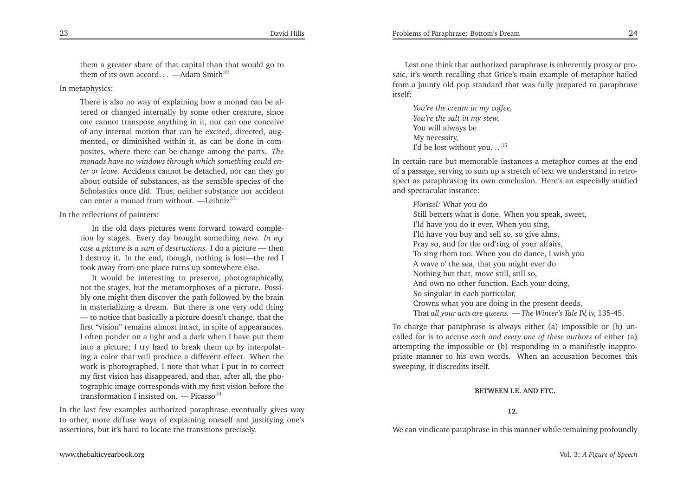them <sup>a</sup> greater share of that capital than that would go tothem of its own accord...  $-\text{Adam Smith}^{32}$  $-\text{Adam Smith}^{32}$  $-\text{Adam Smith}^{32}$ 

In metaphysics:

<span id="page-12-2"></span>There is also no way of explaining how <sup>a</sup> monad can be altered or changed internally by some other creature, since one cannot transpose anything in it, nor can one conceive of any internal motion that can be excited, directed, augmented, or diminished within it, as can be done in composites, where there can be change among the parts. *The monads have no windows through which something could enter or leave.* Accidents cannot be detached, nor can they go about outside of substances, as the sensible species of the Scholastics once did. Thus, neither substance nor accidentcan enter a monad from without. —Leibniz $33$ 

In the reflections of painters:

In the old days <sup>p</sup>ictures went forward toward completion by stages. Every day brought something new. In my *case <sup>a</sup> <sup>p</sup>icture is <sup>a</sup> sum of destructions.* <sup>I</sup> do <sup>a</sup> <sup>p</sup>icture — then <sup>I</sup> destroy it. In the end, though, nothing is lost—the red <sup>I</sup>took away from one <sup>p</sup>lace turns up somewhere else.

It would be interesting to preserve, <sup>p</sup>hotographically, not the stages, but the metamorphoses of <sup>a</sup> <sup>p</sup>icture. Possibly one might then discover the path followed by the brain in materializing <sup>a</sup> dream. But there is one very odd thing — to notice that basically <sup>a</sup> <sup>p</sup>icture doesn't change, that the first "vision" remains almost intact, in spite of appearances. <sup>I</sup> often ponder on <sup>a</sup> light and <sup>a</sup> dark when <sup>I</sup> have pu<sup>t</sup> them into <sup>a</sup> <sup>p</sup>icture; <sup>I</sup> try hard to break them up by interpolating <sup>a</sup> color that will produce <sup>a</sup> different effect. When the work is <sup>p</sup>hotographed, <sup>I</sup> note that what <sup>I</sup> pu<sup>t</sup> in to correct my first vision has disappeared, and that, after all, the <sup>p</sup>hotographic image corresponds with my first vision before thetransformation I insisted on.  $-$  Picasso<sup>[34](#page-23-3)</sup>

In the last few examples authorized paraphrase eventually <sup>g</sup>ives way to other, more diffuse ways of explaining oneself and justifying one'sassertions, but it's hard to locate the transitions precisely.

<span id="page-12-3"></span>Lest one think that authorized paraphrase is inherently prosy or prosaic, it's worth recalling that Grice's main example of metaphor hailed from <sup>a</sup> jaunty old pop standard that was fully prepared to paraphraseitself:

*You're the cream in my coffee, You're the salt in my stew,* You will always beMy necessity, I'd be lost without you... $35$ 

<span id="page-12-1"></span><span id="page-12-0"></span>In certain rare but memorable instances <sup>a</sup> metaphor comes at the end of <sup>a</sup> passage, serving to sum up <sup>a</sup> stretch of text we understand in retrospec<sup>t</sup> as paraphrasing its own conclusion. Here's an especially studiedand spectacular instance:

*Florizel:* What you do

 Still betters what is done. When you speak, sweet, I'ld have you do it ever. When you sing, I'ld have you buy and sell so, so <sup>g</sup>ive alms, Pray so, and for the ord'ring of your affairs, To sing them too. When you do dance, <sup>I</sup> wish you<sup>A</sup> wave <sup>o</sup>' the sea, that you might ever doNothing but that, move still, still so, And own no other function. Each your doing, So singular in each particular, Crowns what you are doing in the presen<sup>t</sup> deeds, That *all your acts are queens.* — *The Winter's Tale* IV, iv, 135-45.

To charge that paraphrase is always either (a) impossible or (b) uncalled for is to accuse *each and every one of these authors* of either (a) attempting the impossible or (b) responding in <sup>a</sup> manifestly inappropriate manner to his own words. When an accusation becomes thissweeping, it discredits itself.

#### **BETWEEN I.E. AND ETC.**

**12.**

We can vindicate paraphrase in this manner while remaining profoundly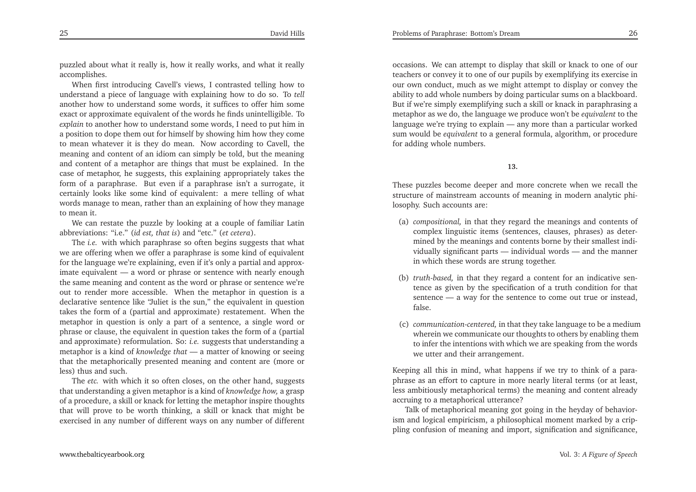puzzled about what it really is, how it really works, and what it reallyaccomplishes.

When first introducing Cavell's views, <sup>I</sup> contrasted telling how to understand <sup>a</sup> <sup>p</sup>iece of language with explaining how to do so. To *tell* another how to understand some words, it suffices to offer himanother how to understand some words, it suffices to offer him some<br>exact or approximate equivalent of the words he finds unintelligible. To *explain* to another how to understand some words, <sup>I</sup> need to pu<sup>t</sup> him in <sup>a</sup> position to dope them out for himself by showing him how they come to mean whatever it is they do mean. Now according to Cavell, the meaning and content of an idiom can simply be told, but the meaning and content of <sup>a</sup> metaphor are things that must be explained. In the case of metaphor, he suggests, this explaining appropriately takes the form of <sup>a</sup> paraphrase. But even if <sup>a</sup> paraphrase isn't <sup>a</sup> surrogate, it certainly looks like some kind of equivalent: <sup>a</sup> mere telling of what words manage to mean, rather than an explaining of how they manageto mean it.

We can restate the puzzle by looking at <sup>a</sup> couple of familiar Latinabbreviations: "i.e." (*id est, that is*) and "etc." (*et cetera*).

The *i.e.* with which paraphrase so often begins suggests that what we are offering when we offer <sup>a</sup> paraphrase is some kind of equivalent for the language we're explaining, even if it's only <sup>a</sup> partial and approximate equivalent — <sup>a</sup> word or <sup>p</sup>hrase or sentence with nearly enough the same meaning and content as the word or <sup>p</sup>hrase or sentence we're out to render more accessible. When the metaphor in question is <sup>a</sup> declarative sentence like "Juliet is the sun," the equivalent in question takes the form of <sup>a</sup> (partial and approximate) restatement. When the metaphor in question is only <sup>a</sup> par<sup>t</sup> of <sup>a</sup> sentence, <sup>a</sup> single word or <sup>p</sup>hrase or clause, the equivalent in question takes the form of <sup>a</sup> (partial and approximate) reformulation. So: *i.e.* suggests that understanding <sup>a</sup> metaphor is <sup>a</sup> kind of *knowledge that* — <sup>a</sup> matter of knowing or seeing that the metaphorically presented meaning and content are (more orless) thus and such.

The *etc.* with which it so often closes, on the other hand, suggests that understanding <sup>a</sup> <sup>g</sup>iven metaphor is <sup>a</sup> kind of *knowledge how,* <sup>a</sup> grasp of <sup>a</sup> procedure, <sup>a</sup> skill or knack for letting the metaphor inspire thoughts that will prove to be worth thinking, <sup>a</sup> skill or knack that might beexercised in any number of different ways on any number of different

occasions. We can attempt to display that skill or knack to one of our teachers or convey it to one of our pupils by exemplifying its exercise in our own conduct, much as we might attempt to display or convey the ability to add whole numbers by doing particular sums on <sup>a</sup> blackboard. But if we're simply exemplifying such <sup>a</sup> skill or knack in paraphrasing <sup>a</sup> metaphor as we do, the language we produce won't be *equivalent* to the language we're trying to explain — any more than <sup>a</sup> particular worked sum would be *equivalent* to <sup>a</sup> genera<sup>l</sup> formula, algorithm, or procedure for adding whole numbers.

#### **13.**

These puzzles become deeper and more concrete when we recall the structure of mainstream accounts of meaning in modern analytic <sup>p</sup>hilosophy. Such accounts are:

- (a) *compositional,* in that they regard the meanings and contents of complex linguistic items (sentences, clauses, <sup>p</sup>hrases) as determined by the meanings and contents borne by their smallest individually significant parts — individual words — and the mannerin which these words are strung together.
- (b) *truth-based,* in that they regard <sup>a</sup> content for an indicative sentence as <sup>g</sup>iven by the specification of <sup>a</sup> truth condition for that sentence — <sup>a</sup> way for the sentence to come out true or instead, false.
- (c) *communication-centered,* in that they take language to be <sup>a</sup> medium wherein we communicate our thoughts to others by enabling them to infer the intentions with which we are speaking from the wordswe utter and their arrangement.

Keeping all this in mind, what happens if we try to think of <sup>a</sup> para<sup>p</sup>hrase as an effort to capture in more nearly literal terms (or at least, less ambitiously metaphorical terms) the meaning and content alreadyaccruing to <sup>a</sup> metaphorical utterance?

 Talk of metaphorical meaning go<sup>t</sup> going in the heyday of behaviorism and logical empiricism, <sup>a</sup> <sup>p</sup>hilosophical moment marked by <sup>a</sup> crip<sup>p</sup>ling confusion of meaning and import, signification and significance,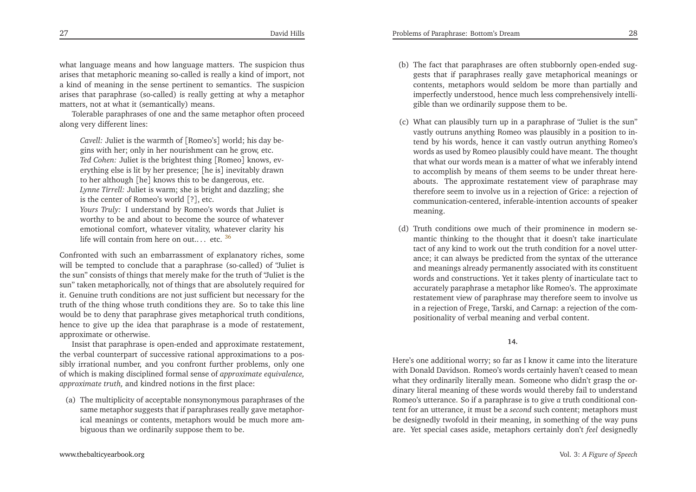what language means and how language matters. The suspicion thus arises that metaphoric meaning so-called is really <sup>a</sup> kind of import, not <sup>a</sup> kind of meaning in the sense pertinent to semantics. The suspicion arises that paraphrase (so-called) is really getting at why <sup>a</sup> metaphor matters, not at what it (semantically) means.

Tolerable paraphrases of one and the same metaphor often proceedalong very different lines:

*Cavell:* Juliet is the warmth of [Romeo's] world; his day be<sup>g</sup>ins with her; only in her nourishment can he grow, etc. *Ted Cohen:* Juliet is the brightest thing [Romeo] knows, everything else is lit by her presence; [he is] inevitably drawnto her although [he] knows this to be dangerous, etc. *Lynne Tirrell:* Juliet is warm; she is bright and dazzling; she

is the center of Romeo's world [?], etc.

*Yours Truly:* <sup>I</sup> understand by Romeo's words that Juliet is worthy to be and about to become the source of whatever emotional comfort, whatever vitality, whatever clarity hislife will contain from here on out.... etc.  $36$ 

Confronted with such an embarrassment of explanatory riches, some will be tempted to conclude that <sup>a</sup> paraphrase (so-called) of "Juliet is the sun" consists of things that merely make for the truth of "Juliet is the sun" taken metaphorically, not of things that are absolutely required for it. Genuine truth conditions are not just sufficient but necessary for the truth of the thing whose truth conditions they are. So to take this line would be to deny that paraphrase <sup>g</sup>ives metaphorical truth conditions, hence to <sup>g</sup>ive up the idea that paraphrase is <sup>a</sup> mode of restatement, approximate or otherwise.

Insist that paraphrase is open-ended and approximate restatement, the verbal counterpart of successive rational approximations to <sup>a</sup> possibly irrational number, and you confront further problems, only one of which is making disciplined formal sense of *approximate equivalence, approximate truth,* and kindred notions in the first <sup>p</sup>lace:

(a) The multiplicity of acceptable nonsynonymous paraphrases of the same metaphor suggests that if paraphrases really gave metaphorical meanings or contents, metaphors would be much more ambiguous than we ordinarily suppose them to be.

- (b) The fact that paraphrases are often stubbornly open-ended suggests that if paraphrases really gave metaphorical meanings or contents, metaphors would seldom be more than partially and imperfectly understood, hence much less comprehensively intelli<sup>g</sup>ible than we ordinarily suppose them to be.
- <span id="page-14-0"></span>(c) What can <sup>p</sup>lausibly turn up in <sup>a</sup> paraphrase of "Juliet is the sun" vastly outruns anything Romeo was <sup>p</sup>lausibly in <sup>a</sup> position to intend by his words, hence it can vastly outrun anything Romeo's words as used by Romeo <sup>p</sup>lausibly could have meant. The thought that what our words mean is <sup>a</sup> matter of what we inferably intend to accomplish by means of them seems to be under threat hereabouts. The approximate restatement view of paraphrase may therefore seem to involve us in <sup>a</sup> rejection of Grice: <sup>a</sup> rejection of communication-centered, inferable-intention accounts of speakermeaning.
- (d) Truth conditions owe much of their prominence in modern semantic thinking to the thought that it doesn't take inarticulate tact of any kind to work out the truth condition for <sup>a</sup> novel utterance; it can always be predicted from the syntax of the utterance and meanings already permanently associated with its constituent words and constructions. Yet it takes <sup>p</sup>lenty of inarticulate tact to accurately paraphrase <sup>a</sup> metaphor like Romeo's. The approximate restatement view of paraphrase may therefore seem to involve us in <sup>a</sup> rejection of Frege, Tarski, and Carnap: <sup>a</sup> rejection of the compositionality of verbal meaning and verbal content.

#### **14.**

Here's one additional worry; so far as <sup>I</sup> know it came into the literature with Donald Davidson. Romeo's words certainly haven't ceased to mean what they ordinarily literally mean. Someone who didn't grasp the ordinary literal meaning of these words would thereby fail to understand Romeo's utterance. So if <sup>a</sup> paraphrase is to <sup>g</sup>ive*a* truth conditional con tent for an utterance, it must be <sup>a</sup> *second* such content; metaphors must be designedly twofold in their meaning, in something of the way punsare. Yet special cases aside, metaphors certainly don't *feel* designedly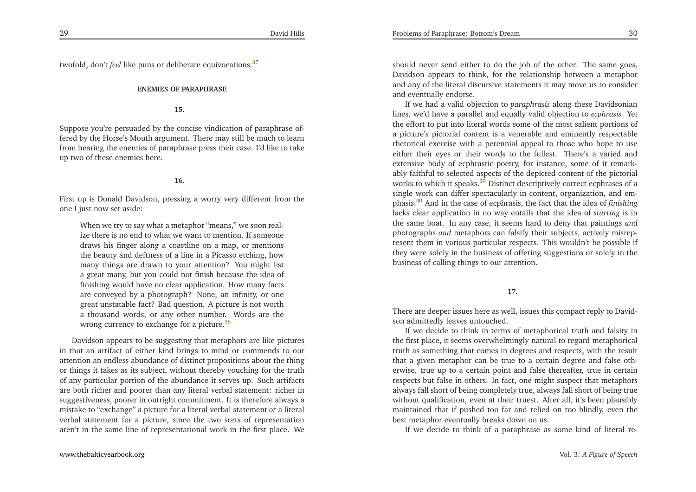twofold, don't *feel* like puns or deliberate equivocations.[37](#page-23-6)

#### **ENEMIES OF PARAPHRASE**

#### **15.**

Suppose you're persuaded by the concise vindication of paraphrase offered by the Horse's Mouth argument. There may still be much to learn from hearing the enemies of paraphrase press their case. I'd like to take up two of these enemies here.

#### <span id="page-15-1"></span>**16.**

First up is Donald Davidson, pressing <sup>a</sup> worry very different from theone <sup>I</sup> just now set aside:

When we try to say what a metaphor "means," we soon realize there is no end to what we want to mention. If someone draws his finger along <sup>a</sup> coastline on <sup>a</sup> map, or mentions the beauty and deftness of <sup>a</sup> line in <sup>a</sup> Picasso etching, how many things are drawn to your attention? You might list <sup>a</sup> grea<sup>t</sup> many, but you could not finish because the idea of finishing would have no clear application. How many facts are conveyed by <sup>a</sup> <sup>p</sup>hotograph? None, an infinity, or one grea<sup>t</sup> unstatable fact? Bad question. <sup>A</sup> <sup>p</sup>icture is not worth <sup>a</sup> thousand words, or any other number. Words are thewrong currency to exchange for a picture.<sup>[38](#page-23-7)</sup>

Davidson appears to be suggesting that metaphors are like <sup>p</sup>ictures in that an artifact of either kind brings to mind or commends to our attention an endless abundance of distinct propositions about the thing or things it takes as its subject, without thereby vouching for the truth of any particular portion of the abundance it serves up. Such artifacts are both richer and poorer than any literal verbal statement: richer in suggestiveness, poorer in outright commitment. It is therefore always <sup>a</sup> mistake to "exchange" <sup>a</sup> <sup>p</sup>icture for <sup>a</sup> literal verbal statement *or* <sup>a</sup> literal verbal statement for <sup>a</sup> <sup>p</sup>icture, since the two sorts of representationaren't in the same line of representational work in the first <sup>p</sup>lace. We

<span id="page-15-2"></span>should never send either to do the job of the other. The same goes, Davidson appears to think, for the relationship between <sup>a</sup> metaphor and any of the literal discursive statements it may move us to consider and eventually endorse.

<span id="page-15-3"></span>Problems of Paraphrase: Bottom's Dream

<span id="page-15-0"></span>If we had <sup>a</sup> valid objection to *paraphrasis* along these Davidsonian lines, we'd have <sup>a</sup> parallel and equally valid objection to *ecphrasis.* Yet the effort to pu<sup>t</sup> into literal words some of the most salient portions of <sup>a</sup> <sup>p</sup>icture's <sup>p</sup>ictorial content is <sup>a</sup> venerable and eminently respectable rhetorical exercise with <sup>a</sup> perennial appeal to those who hope to use either their eyes or their words to the fullest. There's <sup>a</sup> varied and extensive body of ecphrastic poetry, for instance, some of it remarkably faithful to selected aspects of the depicted content of the <sup>p</sup>ictorial works to which it speaks. $3\overline{9}$  Distinct descriptively correct ecphrases of a single work can differ spectacularly in content, organization, and em<sup>p</sup>hasis.[40](#page-23-9) And in the case of ecphrasis, the fact that the idea of *finishing* lacks clear application in no way entails that the idea of *starting* is in the same boat. In any case, it seems hard to deny that paintings *and* photographs *and* metaphors can falsify their subjects, actively misrepresent them in various particular respects. This wouldn't be possible if they were solely in the business of offering suggestions or solely in thebusiness of calling things to our attention.

**17.**

There are deeper issues here as well, issues this compac<sup>t</sup> reply to Davidson admittedly leaves untouched.

If we decide to think in terms of metaphorical truth and falsity in the first <sup>p</sup>lace, it seems overwhelmingly natural to regard metaphorical truth as something that comes in degrees and respects, with the result that <sup>a</sup> <sup>g</sup>iven metaphor can be true to <sup>a</sup> certain degree and false otherwise, true up to <sup>a</sup> certain point and false thereafter, true in certain respects but false in others. In fact, one might suspec<sup>t</sup> that metaphors always fall short of being completely true, always fall short of being true without qualification, even at their truest. After all, it's been <sup>p</sup>lausibly maintained that if pushed too far and relied on too blindly, even thebest metaphor eventually breaks down on us.

If we decide to think of <sup>a</sup> paraphrase as some kind of literal re-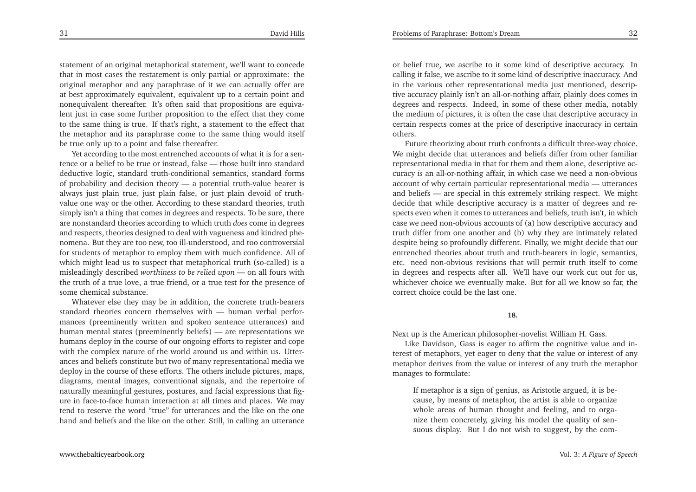statement of an original metaphorical statement, we'll want to concede that in most cases the restatement is only partial or approximate: the original metaphor and any paraphrase of it we can actually offer are at best approximately equivalent, equivalent up to <sup>a</sup> certain point and nonequivalent thereafter. It's often said that propositions are equivalent just in case some further proposition to the effect that they come to the same thing is true. If that's right, <sup>a</sup> statement to the effect that the metaphor and its paraphrase come to the same thing would itselfbe true only up to <sup>a</sup> point and false thereafter.

Yet according to the most entrenched accounts of what it is for <sup>a</sup> sentence or <sup>a</sup> belief to be true or instead, false — those built into standard deductive logic, standard truth-conditional semantics, standard forms of probability and decision theory — <sup>a</sup> potential truth-value bearer is always just <sup>p</sup>lain true, just <sup>p</sup>lain false, or just <sup>p</sup>lain devoid of truthvalue one way or the other. According to these standard theories, truth simply isn't <sup>a</sup> thing that comes in degrees and respects. To be sure, there are nonstandard theories according to which truth *does* come in degrees and respects, theories designed to deal with vagueness and kindred <sup>p</sup>henomena. But they are too new, too ill-understood, and too controversial for students of metaphor to employ them with much confidence. All of which might lead us to suspec<sup>t</sup> that metaphorical truth (so-called) is <sup>a</sup> misleadingly described *worthiness to be relied upon —* on all fours with the truth of <sup>a</sup> true love, <sup>a</sup> true friend, or <sup>a</sup> true test for the presence ofsome chemical substance.

Whatever else they may be in addition, the concrete truth-bearers standard theories concern themselves with — human verbal performances (preeminently written and spoken sentence utterances) and human mental states (preeminently beliefs) — are representations we humans deploy in the course of our ongoing efforts to register and cope with the complex nature of the world around us and within us. Utterances and beliefs constitute but two of many representational media we deploy in the course of these efforts. The others include <sup>p</sup>ictures, maps, diagrams, mental images, conventional signals, and the repertoire of naturally meaningful gestures, postures, and facial expressions that figure in face-to-face human interaction at all times and <sup>p</sup>laces. We may tend to reserve the word "true" for utterances and the like on the one hand and beliefs and the like on the other. Still, in calling an utterance or belief true, we ascribe to it some kind of descriptive accuracy. In calling it false, we ascribe to it some kind of descriptive inaccuracy. And in the various other representational media just mentioned, descriptive accuracy <sup>p</sup>lainly isn't an all-or-nothing affair, <sup>p</sup>lainly does comes in degrees and respects. Indeed, in some of these other media, notably the medium of <sup>p</sup>ictures, it is often the case that descriptive accuracy in certain respects comes at the price of descriptive inaccuracy in certainothers.

 Future theorizing about truth confronts <sup>a</sup> difficult three-way choice. We might decide that utterances and beliefs differ from other familiar representational media in that for them and them alone, descriptive accuracy *is* an all-or-nothing affair, in which case we need <sup>a</sup> non-obvious account of why certain particular representational media account of why certain particular representational media — utterances<br>and beliefs — are special in this extremely striking respect. We might decide that while descriptive accuracy is <sup>a</sup> matter of degrees and respects even when it comes to utterances and beliefs, truth isn't, in which case we need non-obvious accounts of (a) how descriptive accuracy and truth differ from one another and (b) why they are intimately related despite being so profoundly different. Finally, we might decide that our entrenched theories about truth and truth-bearers in logic, semantics, etc. need non-obvious revisions that will permit truth itself to come in degrees and respects after all. We'll have our work cut out for us, whichever choice we eventually make. But for all we know so far, thecorrect choice could be the last one.

#### **18.**

Next up is the American <sup>p</sup>hilosopher-novelist William H. Gass.

Like Davidson, Gass is eager to affirm the cognitive value and interest of metaphors, ye<sup>t</sup> eager to deny that the value or interest of any metaphor derives from the value or interest of any truth the metaphormanages to formulate:

If metaphor is <sup>a</sup> sign of genius, as Aristotle argued, it is because, by means of metaphor, the artist is able to organize whole areas of human thought and feeling, and to organize them concretely, <sup>g</sup>iving his model the quality of sensuous display*.* But <sup>I</sup> do not wish to suggest, by the com-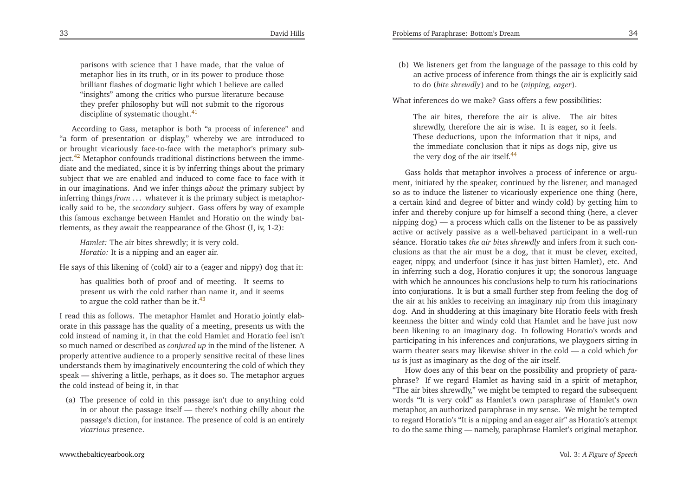parisons with science that <sup>I</sup> have made, that the value of metaphor lies in its truth, or in its power to produce those brilliant flashes of dogmatic light which <sup>I</sup> believe are called "insights" among the critics who pursue literature because they prefer <sup>p</sup>hilosophy but will not submit to the rigorousdiscipline of systematic thought. $41$ 

<span id="page-17-2"></span>According to Gass, metaphor is both "a process of inference" and "a form of presentation or display," whereby we are introduced to or brought vicariously face-to-face with the metaphor's primary sub-ject.<sup>[42](#page-23-11)</sup> Metaphor confounds traditional distinctions between the immediate and the mediated, since it is by inferring things about the primary subject that we are enabled and induced to come face to face with it in our imaginations. And we infer things *about* the primary subject by inferring things *from* . . . whatever it is the primary subject is metaphorically said to be, the *secondary* subject. Gass offers by way of example this famous exchange between Hamlet and Horatio on the windy battlements, as they await the reappearance of the Ghost (I, iv, 1-2):

*Hamlet:* The air bites shrewdly; it is very cold. *Horatio:* It is <sup>a</sup> nipping and an eager air.

He says of this likening of (cold) air to <sup>a</sup> (eager and nippy) dog that it:

has qualities both of proof and of meeting. It seems to presen<sup>t</sup> us with the cold rather than name it, and it seemsto argue the cold rather than be it. $43$ 

<sup>I</sup> read this as follows. The metaphor Hamlet and Horatio jointly elaborate in this passage has the quality of <sup>a</sup> meeting, presents us with the cold instead of naming it, in that the cold Hamlet and Horatio feel isn't so much named or described as *conjured up* in the mind of the listener. <sup>A</sup> properly attentive audience to <sup>a</sup> properly sensitive recital of these lines understands them by imaginatively encountering the cold of which they speak — shivering <sup>a</sup> little, perhaps, as it does so. The metaphor arguesthe cold instead of being it, in that

(a) The presence of cold in this passage isn't due to anything cold in or about the passage itself — there's nothing chilly about the passage's diction, for instance. The presence of cold is an entirely*vicarious* presence.

<span id="page-17-1"></span>(b) We listeners ge<sup>t</sup> from the language of the passage to this cold by an active process of inference from things the air is explicitly saidto do (*bite shrewdly*) and to be (*nipping, eager*).

<span id="page-17-3"></span>What inferences do we make? Gass offers <sup>a</sup> few possibilities:

<span id="page-17-0"></span>The air bites, therefore the air is alive. The air bites shrewdly, therefore the air is wise. It is eager, so it feels. These deductions, upon the information that it nips, and the immediate conclusion that it nips as dogs nip, <sup>g</sup>ive usthe very dog of the air itself.<sup>[44](#page-23-13)</sup>

Gass holds that metaphor involves <sup>a</sup> process of inference or argument, initiated by the speaker, continued by the listener, and managed so as to induce the listener to vicariously experience one thing (here, <sup>a</sup> certain kind and degree of bitter and windy cold) by getting him to infer and thereby conjure up for himself <sup>a</sup> second thing (here, <sup>a</sup> clever nipping dog) — <sup>a</sup> process which calls on the listener to be as passively active or actively passive as <sup>a</sup> well-behaved participant in <sup>a</sup> well-run séance. Horatio takes *the air bites shrewdly* and infers from it such conclusions as that the air must be <sup>a</sup> dog, that it must be clever, excited, eager, nippy, and underfoot (since it has just bitten Hamlet), etc. And in inferring such <sup>a</sup> dog, Horatio conjures it up; the sonorous language with which he announces his conclusions help to turn his ratiocinations into conjurations. It is but <sup>a</sup> small further step from feeling the dog of the air at his ankles to receiving an imaginary nip from this imaginary dog. And in shuddering at this imaginary bite Horatio feels with fresh keenness the bitter and windy cold that Hamlet and he have just now been likening to an imaginary dog. In following Horatio's words and participating in his inferences and conjurations, we <sup>p</sup>laygoers sitting in warm theater seats may likewise shiver in the cold — <sup>a</sup> cold which *for us* is just as imaginary as the dog of the air itself.

How does any of this bear on the possibility and propriety of para<sup>p</sup>hrase? If we regard Hamlet as having said in <sup>a</sup> spirit of metaphor, "The air bites shrewdly," we might be tempted to regard the subsequent words "It is very cold" as Hamlet's own paraphrase of Hamlet's own metaphor, an authorized paraphrase in my sense. We might be tempted to regard Horatio's "It is <sup>a</sup> nipping and an eager air" as Horatio's attemptto do the same thing — namely, paraphrase Hamlet's original metaphor.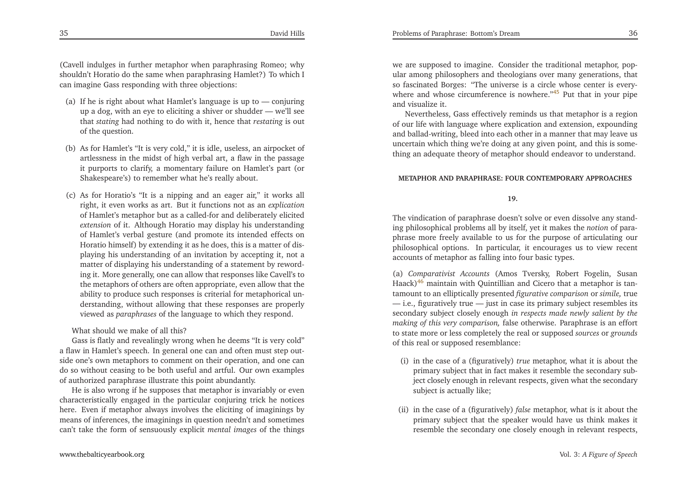<span id="page-18-1"></span>(Cavell indulges in further metaphor when paraphrasing Romeo; why shouldn't Horatio do the same when paraphrasing Hamlet?) To which <sup>I</sup> can imagine Gass responding with three objections:

- (a) If he is right about what Hamlet's language is up to conjuring up <sup>a</sup> dog, with an eye to eliciting <sup>a</sup> shiver or shudder — we'll see that *stating* had nothing to do with it, hence that *restating* is out of the question.
- (b) As for Hamlet's "It is very cold," it is idle, useless, an airpocket of artlessness in the midst of high verbal art, <sup>a</sup> flaw in the passage it purports to clarify, <sup>a</sup> momentary failure on Hamlet's par<sup>t</sup> (orShakespeare's) to remember what he's really about.
- (c) As for Horatio's "It is <sup>a</sup> nipping and an eager air," it works all right, it even works as art. But it functions not as an *explication* of Hamlet's metaphor but as <sup>a</sup> called-for and deliberately elicited *extension* of it. Although Horatio may display his understanding of Hamlet's verbal gesture (and promote its intended effects on Horatio himself) by extending it as he does, this is <sup>a</sup> matter of dis<sup>p</sup>laying his understanding of an invitation by accepting it, not <sup>a</sup> matter of displaying his understanding of <sup>a</sup> statement by rewording it. More generally, one can allow that responses like Cavell's to the metaphors of others are often appropriate, even allow that the ability to produce such responses is criterial for metaphorical understanding, without allowing that these responses are properlyviewed as *paraphrases* of the language to which they respond.

What should we make of all this?

 Gass is flatly and revealingly wrong when he deems "It is very cold" <sup>a</sup> flaw in Hamlet's speech. In general one can and often must step outside one's own metaphors to comment on their operation, and one can do so without ceasing to be both useful and artful. Our own examplesof authorized paraphrase illustrate this point abundantly.

He is also wrong if he supposes that metaphor is invariably or even characteristically engaged in the particular conjuring trick he notices here. Even if metaphor always involves the eliciting of imaginings by means of inferences, the imaginings in question needn't and sometimes can't take the form of sensuously explicit *mental images* of the things

we are supposed to imagine. Consider the traditional metaphor, popular among <sup>p</sup>hilosophers and theologians over many generations, that so fascinated Borges: "The universe is <sup>a</sup> circle whose center is every-where and whose circumference is nowhere."<sup>[45](#page-23-14)</sup> Put that in your pipe and visualize it.

Nevertheless, Gass effectively reminds us that metaphor is <sup>a</sup> region of our life with language where explication and extension, expounding and ballad-writing, bleed into each other in <sup>a</sup> manner that may leave us uncertain which thing we're doing at any <sup>g</sup>iven point*,* and this is something an adequate theory of metaphor should endeavor to understand.

#### <span id="page-18-0"></span>**METAPHOR AND PARAPHRASE: FOUR CONTEMPORARY APPROACHES**

#### **19.**

The vindication of paraphrase doesn't solve or even dissolve any standing <sup>p</sup>hilosophical problems all by itself, ye<sup>t</sup> it makes the *notion* of para<sup>p</sup>hrase more freely available to us for the purpose of articulating our <sup>p</sup>hilosophical options. In particular, it encourages us to view recentaccounts of metaphor as falling into four basic types.

(a) *Comparativist Accounts* (Amos Tversky, Robert Fogelin, SusanHaack)<sup>[46](#page-23-15)</sup> maintain with Quintillian and Cicero that a metaphor is tantamount to an elliptically presented *figurative comparison* or *simile,* true — i.e., figuratively true — just in case its primary subject resembles its secondary subject closely enough *in respects made newly salient by the making of this very comparison,* false otherwise. Paraphrase is an effort to state more or less completely the real or supposed *sources* or *grounds* of this real or supposed resemblance:

- (i) in the case of <sup>a</sup> (figuratively) *true* metaphor, what it is about the primary subject that in fact makes it resemble the secondary subject closely enough in relevant respects, <sup>g</sup>iven what the secondarysubject is actually like;
- (ii) in the case of <sup>a</sup> (figuratively) *false* metaphor, what is it about the primary subject that the speaker would have us think makes itresemble the secondary one closely enough in relevant respects,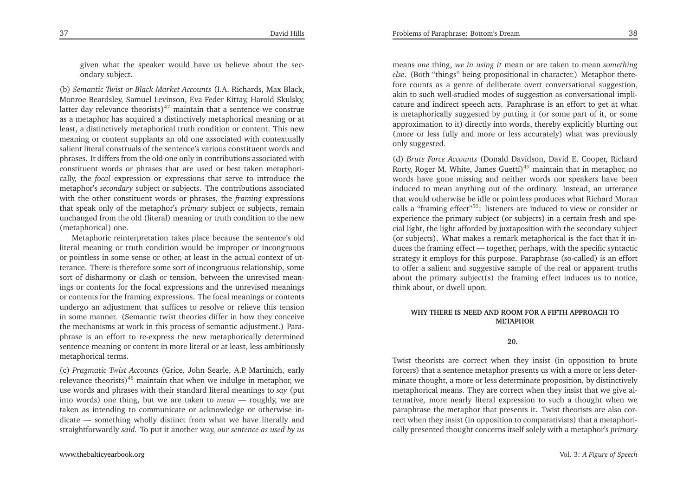<span id="page-19-1"></span><sup>g</sup>iven what the speaker would have us believe about the secondary subject.

(b) *Semantic Twist or Black Market Accounts* (I.A. Richards, Max Black, Monroe Beardsley, Samuel Levinson, Eva Feder Kittay, Harold Skulsky, latter day relevance theorists)<sup>[47](#page-23-16)</sup> maintain that a sentence we construe as <sup>a</sup> metaphor has acquired <sup>a</sup> distinctively metaphorical meaning or at least, <sup>a</sup> distinctively metaphorical truth condition or content. This new meaning or content supplants an old one associated with contextually salient literal construals of the sentence's various constituent words and <sup>p</sup>hrases. It differs from the old one only in contributions associated with constituent words or <sup>p</sup>hrases that are used or best taken metaphorically, the *focal* expression or expressions that serve to introduce the metaphor's *secondary* subject or subjects. The contributions associated with the other constituent words or <sup>p</sup>hrases, the *framing* expressions that speak only of the metaphor's *primary* subject or subjects, remain unchanged from the old (literal) meaning or truth condition to the new(metaphorical) one.

Metaphoric reinterpretation takes <sup>p</sup>lace because the sentence's old literal meaning or truth condition would be improper or incongruous or pointless in some sense or other, at least in the actual context of utterance. There is therefore some sort of incongruous relationship, some sort of disharmony or clash or tension, between the unrevised meanings or contents for the focal expressions and the unrevised meanings or contents for the framing expressions. The focal meanings or contents undergo an adjustment that suffices to resolve or relieve this tension in some manner. (Semantic twist theories differ in how they conceive the mechanisms at work in this process of semantic adjustment.) Para<sup>p</sup>hrase is an effort to re-express the new metaphorically determined sentence meaning or content in more literal or at least, less ambitiouslymetaphorical terms.

(c) *Pragmatic Twist Accounts* (Grice, John Searle, A.P. Martinich, earlyrelevance theorists)<sup>[48](#page-23-17)</sup> maintain that when we indulge in metaphor, we use words and <sup>p</sup>hrases with their standard literal meanings to *say* (put into words) one thing, but we are taken to *mean* — roughly, we are taken as intending to communicate or acknowledge or otherwise indicate — something wholly distinct from what we have literally andstraightforwardly *said.* To pu<sup>t</sup> it another way, *our sentence as used by us*

<span id="page-19-3"></span><span id="page-19-2"></span> (more or less fully and more or less accurately) what was previouslyonly suggested. (d) *Brute Force Accounts* (Donald Davidson, David E. Cooper, RichardRorty, Roger M. White, James Guetti)<sup>[49](#page-23-18)</sup> maintain that in metaphor, no words have gone missing and neither words nor speakers have been induced to mean anything out of the ordinary. Instead, an utterance that would otherwise be idle or pointless produces what Richard Morancalls a "framing effect"<sup>[50](#page-23-19)</sup>: listeners are induced to view or consider or experience the primary subject (or subjects) in <sup>a</sup> certain fresh and spe-

think about, or dwell upon.

**WHY THERE IS NEED AND ROOM FOR <sup>A</sup> FIFTH APPROACH TOMETAPHOR**

cial light, the light afforded by juxtaposition with the secondary subject (or subjects). What makes <sup>a</sup> remark metaphorical is the fact that it induces the framing effect — together, perhaps, with the specific syntactic strategy it employs for this purpose. Paraphrase (so-called) is an effort to offer <sup>a</sup> salient and suggestive sample of the real or apparen<sup>t</sup> truthsabout the primary subject(s) the framing effect induces us to notice,

<span id="page-19-0"></span>means *one* thing, *we in using it* mean or are taken to mean *something else*. (Both "things" being propositional in character.) Metaphor therefore counts as <sup>a</sup> genre of deliberate overt conversational suggestion, akin to such well-studied modes of suggestion as conversational implicature and indirect speech acts. Paraphrase is an effort to ge<sup>t</sup> at what is metaphorically suggested by putting it (or some par<sup>t</sup> of it, or someapproximation to it) directly into words, thereby explicitly blurting out

#### **20.**

Twist theorists are correct when they insist (in opposition to brute forcers) that <sup>a</sup> sentence metaphor presents us with <sup>a</sup> more or less determinate thought, <sup>a</sup> more or less determinate proposition, by distinctively metaphorical means. They are correct when they insist that we <sup>g</sup>ive alternative, more nearly literal expression to such <sup>a</sup> thought when we paraphrase the metaphor that presents it. Twist theorists are also correct when they insist (in opposition to comparativists) that <sup>a</sup> metaphorically presented thought concerns itself solely with <sup>a</sup> metaphor's *primary*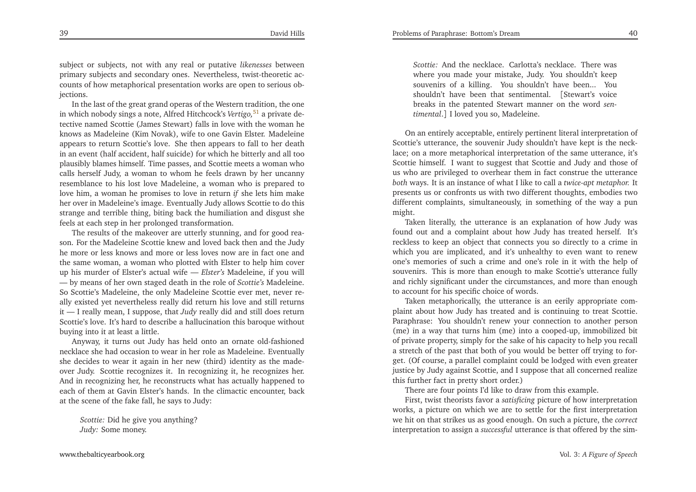subject or subjects, not with any real or putative *likenesses* between primary subjects and secondary ones. Nevertheless, twist-theoretic accounts of how metaphorical presentation works are open to serious objections.

 In the last of the grea<sup>t</sup> grand operas of the Western tradition, the one in which nobody sings <sup>a</sup> note, Alfred Hitchcock's *Vertigo,*[51](#page-23-20) <sup>a</sup> private detective named Scottie (James Stewart) falls in love with the woman he knows as Madeleine (Kim Novak), wife to one Gavin Elster. Madeleine appears to return Scottie's love. She then appears to fall to her death in an event (half accident, half suicide) for which he bitterly and all too <sup>p</sup>lausibly blames himself. Time passes, and Scottie meets <sup>a</sup> woman who calls herself Judy, <sup>a</sup> woman to whom he feels drawn by her uncanny resemblance to his lost love Madeleine, <sup>a</sup> woman who is prepared to love him, <sup>a</sup> woman he promises to love in return *if* she lets him make her over in Madeleine's image. Eventually Judy allows Scottie to do this strange and terrible thing, biting back the humiliation and disgust she feels at each step in her prolonged transformation.

The results of the makeover are utterly stunning, and for good reason. For the Madeleine Scottie knew and loved back then and the Judy he more or less knows and more or less loves now are in fact one and the same woman, <sup>a</sup> woman who <sup>p</sup>lotted with Elster to help him cover up his murder of Elster's actual wife — *Elster's* Madeleine, if you will — by means of her own staged death in the role of *Scottie's* Madeleine. So Scottie's Madeleine, the only Madeleine Scottie ever met, never really existed ye<sup>t</sup> nevertheless really did return his love and still returns it — <sup>I</sup> really mean, <sup>I</sup> suppose, that *Judy* really did and still does return Scottie's love. It's hard to describe <sup>a</sup> hallucination this baroque withoutbuying into it at least <sup>a</sup> little.

Anyway, it turns out Judy has held onto an ornate old-fashioned necklace she had occasion to wear in her role as Madeleine. Eventually she decides to wear it again in her new (third) identity as the madeover Judy. Scottie recognizes it. In recognizing it, he recognizes her. And in recognizing her, he reconstructs what has actually happened to each of them at Gavin Elster's hands. In the climactic encounter, backat the scene of the fake fall, he says to Judy:

*Scottie:* Did he <sup>g</sup>ive you anything?*Judy:* Some money.

*Scottie:* And the necklace. Carlotta's necklace. There was where you made your mistake, Judy. You shouldn't keep souvenirs of <sup>a</sup> killing. You shouldn't have been... You shouldn't have been that sentimental. [Stewart's voice breaks in the patented Stewart manner on the word *sentimental*.] <sup>I</sup> loved you so, Madeleine.

On an entirely acceptable, entirely pertinent literal interpretation of Scottie's utterance, the souvenir Judy shouldn't have kept is the necklace; on <sup>a</sup> more metaphorical interpretation of the same utterance, it's Scottie himself. <sup>I</sup> want to sugges<sup>t</sup> that Scottie and Judy and those of us who are privileged to overhear them in fact construe the utterance *both* ways. It is an instance of what <sup>I</sup> like to call <sup>a</sup> *twice-apt metaphor.* It presents us or confronts us with two different thoughts, embodies two different complaints, simultaneously, in something of the way <sup>a</sup> punmight.

<span id="page-20-0"></span>Taken literally, the utterance is an explanation of how Judy was found out and <sup>a</sup> complaint about how Judy has treated herself. It's reckless to keep an object that connects you so directly to <sup>a</sup> crime in which you are implicated, and it's unhealthy to even want to renew one's memories of such <sup>a</sup> crime and one's role in it with the help ofsouvenirs. This is more than enough to make Scottie's utterance fully and richly significant under the circumstances, and more than enoughto account for his specific choice of words.

Taken metaphorically, the utterance is an eerily appropriate com<sup>p</sup>laint about how Judy has treated and is continuing to treat Scottie. Paraphrase: You shouldn't renew your connection to another person (me) in <sup>a</sup> way that turns him (me) into <sup>a</sup> cooped-up, immobilized bit of private property, simply for the sake of his capacity to help you recall <sup>a</sup> stretch of the pas<sup>t</sup> that both of you would be better off trying to forget. (Of course, <sup>a</sup> parallel complaint could be lodged with even greater justice by Judy against Scottie, and <sup>I</sup> suppose that all concerned realizethis further fact in pretty short order.)

There are four points I'd like to draw from this example.

First, twist theorists favor <sup>a</sup> *satisficing* <sup>p</sup>icture of how interpretation works, <sup>a</sup> <sup>p</sup>icture on which we are to settle for the first interpretation we hit on that strikes us as good enough. On such <sup>a</sup> <sup>p</sup>icture, the *correct* interpretation to assign <sup>a</sup> *successful* utterance is that offered by the sim-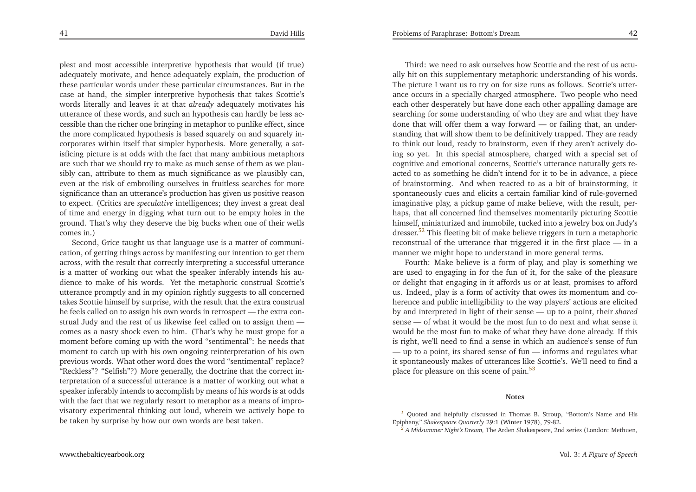<span id="page-21-3"></span><span id="page-21-1"></span><span id="page-21-0"></span><sup>p</sup>lest and most accessible interpretive hypothesis that would (if true) adequately motivate, and hence adequately explain, the production of these particular words under these particular circumstances. But in the case at hand, the simpler interpretive hypothesis that takes Scottie's words literally and leaves it at that *already* adequately motivates his utterance of these words, and such an hypothesis can hardly be less accessible than the richer one bringing in metaphor to punlike effect, since the more complicated hypothesis is based squarely on and squarely incorporates within itself that simpler hypothesis. More generally, <sup>a</sup> satisficing <sup>p</sup>icture is at odds with the fact that many ambitious metaphors are such that we should try to make as much sense of them as we <sup>p</sup>lausibly can, attribute to them as much significance as we <sup>p</sup>lausibly can, even at the risk of embroiling ourselves in fruitless searches for more significance than an utterance's production has <sup>g</sup>iven us positive reason to expect. (Critics are *speculative* intelligences; they invest <sup>a</sup> grea<sup>t</sup> deal of time and energy in digging what turn out to be empty holes in the ground. That's why they deserve the big bucks when one of their wellscomes in.)

 Second, Grice taught us that language use is <sup>a</sup> matter of communication, of getting things across by manifesting our intention to ge<sup>t</sup> them across, with the result that correctly interpreting <sup>a</sup> successful utterance is <sup>a</sup> matter of working out what the speaker inferably intends his audience to make of his words. Yet the metaphoric construal Scottie's utterance promptly and in my opinion rightly suggests to all concerned takes Scottie himself by surprise, with the result that the extra construal he feels called on to assign his own words in retrospect — the extra construal Judy and the rest of us likewise feel called on to assign them comes as <sup>a</sup> nasty shock even to him. (That's why he must grope for <sup>a</sup> moment before coming up with the word "sentimental": he needs that moment to catch up with his own ongoing reinterpretation of his own previous words*.* What other word does the word "sentimental" replace? "Reckless"? "Selfish"?) More generally, the doctrine that the correct interpretation of <sup>a</sup> successful utterance is <sup>a</sup> matter of working out what <sup>a</sup> speaker inferably intends to accomplish by means of his words is at odds with the fact that we regularly resort to metaphor as <sup>a</sup> means of improvisatory experimental thinking out loud, wherein we actively hope tobe taken by surprise by how our own words are best taken.

[www.thebalticyearbook.org](http://www.thebalticyearbook.org/)

<span id="page-21-2"></span>Third: we need to ask ourselves how Scottie and the rest of us actually hit on this supplementary metaphoric understanding of his words. The <sup>p</sup>icture <sup>I</sup> want us to try on for size runs as follows. Scottie's utterance occurs in <sup>a</sup> specially charged atmosphere. Two people who need each other desperately but have done each other appalling damage are searching for some understanding of who they are and what they have done that will offer them <sup>a</sup> way forward — or failing that, an understanding that will show them to be definitively trapped. They are ready to think out loud, ready to brainstorm, even if they aren't actively doing so yet. In this special atmosphere, charged with <sup>a</sup> special set of cognitive and emotional concerns, Scottie's utterance naturally gets reacted to as something he didn't intend for it to be in advance, <sup>a</sup> <sup>p</sup>iece of brainstorming. And when reacted to as <sup>a</sup> bit of brainstorming, it spontaneously cues and elicits <sup>a</sup> certain familiar kind of rule-governed imaginative <sup>p</sup>lay, <sup>a</sup> <sup>p</sup>ickup game of make believe, with the result, perhaps, that all concerned find themselves momentarily <sup>p</sup>icturing Scottie himself, miniaturized and immobile, tucked into <sup>a</sup> jewelry box on Judy'sdresser.<sup>[52](#page-23-21)</sup> This fleeting bit of make believe triggers in turn a metaphoric reconstrual of the utterance that triggered it in the first <sup>p</sup>lace — in <sup>a</sup>manner we might hope to understand in more general terms.

Fourth: Make believe is <sup>a</sup> form of <sup>p</sup>lay, and <sup>p</sup>lay is something we are used to engaging in for the fun of it, for the sake of the <sup>p</sup>leasure or delight that engaging in it affords us or at least, promises to afford us. Indeed, <sup>p</sup>lay is <sup>a</sup> form of activity that owes its momentum and coherence and public intelligibility to the way <sup>p</sup>layers' actions are elicited by and interpreted in light of their sense — up to <sup>a</sup> point, their *shared* sense — of what it would be the most fun to do next and what sense it would be the most fun to make of what they have done already. If this is right, we'll need to find <sup>a</sup> sense in which an audience's sense of fun — up to <sup>a</sup> point, its shared sense of fun — informs and regulates what it spontaneously makes of utterances like Scottie's. We'll need to find <sup>a</sup>place for pleasure on this scene of pain.<sup>[53](#page-23-22)</sup>

#### **Notes**

Quoted and helpfully discussed in Thomas B. Stroup, "Bottom's Name and HisEpiphany," *Shakespeare Quarterly* 29:1 (Winter 1978), 79-82.

*[<sup>2</sup>](#page-2-0) <sup>A</sup> Midsummer Night's Dream,* The Arden Shakespeare, 2nd series (London: Methuen,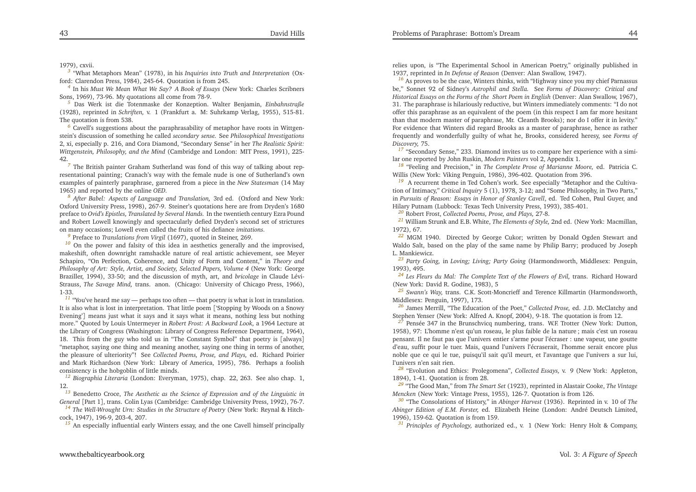<span id="page-22-28"></span><span id="page-22-27"></span><span id="page-22-26"></span><span id="page-22-25"></span><span id="page-22-24"></span><span id="page-22-23"></span><span id="page-22-22"></span><span id="page-22-21"></span><span id="page-22-12"></span><span id="page-22-11"></span><span id="page-22-10"></span><span id="page-22-9"></span><span id="page-22-8"></span>1979), cxvii.

*[3](#page-3-0)* "What Metaphors Mean" (1978), in his *Inquiries into Truth and Interpretation* (Oxford: Clarendon Press, 1984), 245-64. Quotation is from 245.

*[4](#page-3-1)* In his *Must We Mean What We Say? <sup>A</sup> Book of Essays* (New York: Charles Scribners Sons, 1969), 73-96. My quotations all come from 78-9.

*[5](#page-3-2)* Das Werk ist die Totenmaske der Konzeption. Walter Benjamin, *Einbahnstraße* (1928), reprinted in *Schriften,* v. <sup>1</sup> (Frankfurt a. M: Suhrkamp Verlag, 1955), 515-81. The quotation is from 538.

*[6](#page-4-0)* Cavell's suggestions about the paraphrasability of metaphor have roots in Wittgenstein's discussion of something he called *secondary sense.* See *Philosophical Investigations* 2, xi, especially p. 216, and Cora Diamond, "Secondary Sense" in her *The Realistic Spirit: Wittgenstein, Philosophy, and the Mind* (Cambridge and London: MIT Press, 1991), 225- 42.

 *[7](#page-4-1)* The British painter Graham Sutherland was fond of this way of talking about representational painting; Cranach's way with the female nude is one of Sutherland's own examples of painterly paraphrase, garnered from <sup>a</sup> <sup>p</sup>iece in the *New Statesman* (14 May 1965) and reported by the online *OED.*

*[8](#page-5-0) After Babel: Aspects of Language and Translation,* 3rd ed. (Oxford and New York: Oxford University Press, 1998), 267-9. Steiner's quotations here are from Dryden's 1680 preface to *Ovid's Epistles, Translated by Several Hands.* In the twentieth century Ezra Pound and Robert Lowell knowingly and spectacularly defied Dryden's second set of strictureson many occasions; Lowell even called the fruits of his defiance *imitations.*

*[9](#page-5-1)* Preface to *Translations from Virgil* (1697), quoted in Steiner, 269.

*[10](#page-5-2)* On the power and falsity of this idea in aesthetics generally and the improvised, makeshift, often downright ramshackle nature of real artistic achievement, see Meyer Schapiro, "On Perfection, Coherence, and Unity of Form and Content," in *Theory and* Philosophy of Art: Style, Artist, and Society, Selected Papers, Volume 4 (New York: George Braziller, 1994), 33-50; and the discussion of myth, art, and *bricolage* in Claude Lévi-Strauss, *The Savage Mind,* trans. anon. (Chicago: University of Chicago Press, 1966), 1-33.

 *[11](#page-6-0)* "You've heard me say — perhaps too often — that poetry is what is lost in translation. It is also what is lost in interpretation. That little poem ['Stopping by Woods on <sup>a</sup> Snowy Evening'] means just what it says and it says what it means, nothing less but nothing more." Quoted by Louis Untermeyer in *Robert Frost: <sup>A</sup> Backward Look,* <sup>a</sup> <sup>1964</sup> Lecture at the Library of Congress (Washington: Library of Congress Reference Department, 1964), 18. This from the guy who told us in "The Constant Symbol" that poetry is [always] "metaphor, saying one thing and meaning another, saying one thing in terms of another, the <sup>p</sup>leasure of ulteriority"! See *Collected Poems, Prose, and Plays,* ed. Richard Poirier and Mark Richardson (New York: Library of America, 1995), 786. Perhaps <sup>a</sup> foolishconsistency is the hobgoblin of little minds.

*[12](#page-6-1) Biographia Literaria* (London: Everyman, 1975), chap. 22, 263. See also chap. 1, 12.

<sup>[13](#page-6-2)</sup> Benedetto Croce, The Aesthetic as the Science of Expression and of the Linguistic in *General* [Part <sup>1</sup>], trans. Colin Lyas (Cambridge: Cambridge University Press, 1992), 76-7.

*[14](#page-7-0) The Well-Wrought Urn: Studies in the Structure of Poetry* (New York: Reynal & Hitchcock, 1947), 196-9, 203-4, 207.

*[15](#page-7-1)* An especially influential early Winters essay, and the one Cavell himself principally

<span id="page-22-20"></span><span id="page-22-19"></span><span id="page-22-18"></span><span id="page-22-17"></span><span id="page-22-16"></span><span id="page-22-15"></span><span id="page-22-14"></span><span id="page-22-13"></span><span id="page-22-7"></span><span id="page-22-6"></span><span id="page-22-5"></span><span id="page-22-4"></span><span id="page-22-3"></span><span id="page-22-2"></span><span id="page-22-1"></span><span id="page-22-0"></span>relies upon, is "The Experimental School in American Poetry," originally published in1937, reprinted in *In Defense of Reason* (Denver: Alan Swallow, 1947).

*[16](#page-7-2)* As proves to be the case, Winters thinks, with "Highway since you my chief Parnassus be," Sonnet 92 of Sidney's *Astrophil and Stella.* See *Forms of Discovery: Critical and*Historical Essays on the Forms of the Short Poem in English (Denver: Alan Swallow, 1967), 31. The paraphrase is hilariously reductive, but Winters immediately comments: "I do not offer this paraphrase as an equivalent of the poem (in this respec<sup>t</sup> <sup>I</sup> am far more hesitant than that modern master of paraphrase, Mr. Cleanth Brooks); nor do <sup>I</sup> offer it in levity." For evidence that Winters did regard Brooks as <sup>a</sup> master of paraphrase, hence as rather frequently and wonderfully guilty of what he, Brooks, considered heresy, see *Forms of Discovery,* 75.

<sup>[17](#page-8-0)</sup> "Secondary Sense," 233. Diamond invites us to compare her experience with a similar one reported by John Ruskin, *Modern Painters* vol 2, Appendix 1.

*[18](#page-9-0)* "Feeling and Precision," in *The Complete Prose of Marianne Moore,* ed. Patricia C. Willis (New York: Viking Penguin, 1986), 396-402. Quotation from 396.

*[19](#page-9-1)* <sup>A</sup> recurrent theme in Ted Cohen's work. See especially "Metaphor and the Cultivation of Intimacy," *Critical Inquiry* <sup>5</sup> (1), 1978, 3-12; and "Some Philosophy, in Two Parts," in *Pursuits of Reason: Essays in Honor of Stanley Cavell*, ed. Ted Cohen, Paul Guyer, and Hilary Putnam (Lubbock: Texas Tech University Press, 1993), 385-401.

*[20](#page-9-2)* Robert Frost, *Collected Poems, Prose, and Plays,* 27-8.

*[21](#page-9-3)* William Strunk and E.B. White, *The Elements of Style,* 2nd ed. (New York: Macmillan, 1972), 67.

*[22](#page-9-4)* MGM 1940. Directed by George Cukor; written by Donald Ogden Stewart and Waldo Salt, based on the <sup>p</sup>lay of the same name by Philip Barry; produced by JosephL. Mankiewicz.

*[23](#page-10-0) Party Going,* in *Loving; Living; Party Going* (Harmondsworth, Middlesex: Penguin, 1993), 495.

<sup>[24](#page-10-1)</sup> Les Fleurs du Mal: The Complete Text of the Flowers of Evil, trans. Richard Howard (New York: David R. Godine, 1983), <sup>5</sup>

 *[25](#page-10-2) Swann's Way,* trans. C.K. Scott-Moncrieff and Terence Killmartin (Harmondsworth, Middlesex: Penguin, 1997), 173.

*[26](#page-10-3)* James Merrill, "The Education of the Poet," *Collected Prose,* ed. J.D. McClatchy andStephen Yenser (New York: Alfred A. Knopf, 2004), 9-18. The quotation is from 12.

*[27](#page-11-0)* Pensée 347 in the Brunschvicq numbering, trans. W.F. Trotter (New York: Dutton, 1958), 97: L'homme <sup>n</sup>'est qu'un roseau, le <sup>p</sup>lus faible de la nature ; mais <sup>c</sup>'est un roseau pensant. Il ne faut pas que l'univers entier <sup>s</sup>'arme pour l'écraser : une vapeur, une goutte d'eau, suffit pour le tuer. Mais, quand l'univers l'écraserait, l'homme serait encore <sup>p</sup>lus noble que ce qu<sup>i</sup> le tue, puisqu'il sait qu'il meurt, et l'avantage que l'univers <sup>a</sup> sur lui, l'univers <sup>n</sup>'en sait rien.

*[28](#page-11-1)* "Evolution and Ethics: Prolegomena", *Collected Essays,* v. 9 (New York: Appleton, 1894), 1-41. Quotation is from 28.

*[29](#page-11-2)* "The Good Man," from *The Smart Set* (1923), reprinted in Alastair Cooke, *The Vintage Mencken* (New York: Vintage Press, 1955)*,* 126-7. Quotation is from 126.

*[30](#page-11-3)* "The Consolations of History," in *Abinger Harvest* (1936). Reprinted in v. <sup>10</sup> of *The Abinger Edition of E.M. Forster,* ed. Elizabeth Heine (London: André Deutsch Limited, 1996), 159-62. Quotation is from 159.

*[31](#page-11-4) Principles of Psychology,* authorized ed., v. <sup>1</sup> (New York: Henry Holt & Company,